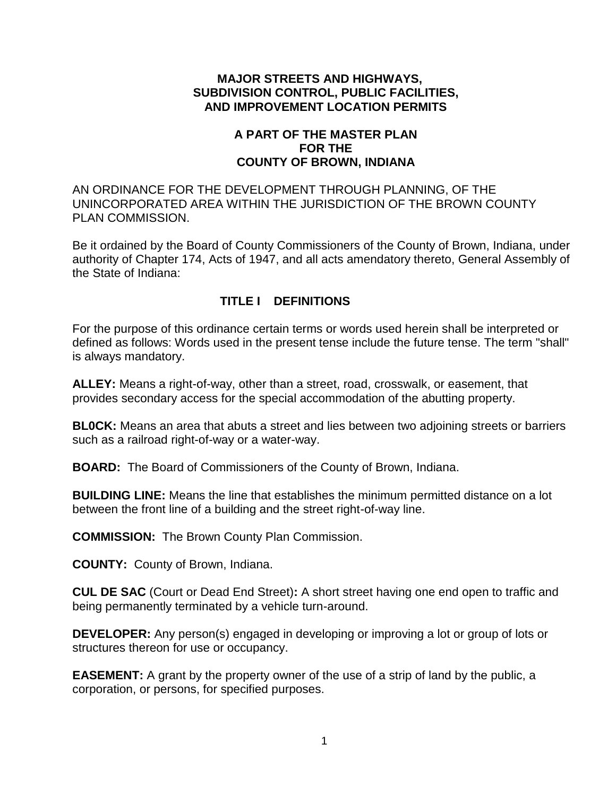#### **MAJOR STREETS AND HIGHWAYS, SUBDIVISION CONTROL, PUBLIC FACILITIES, AND IMPROVEMENT LOCATION PERMITS**

### **A PART OF THE MASTER PLAN FOR THE COUNTY OF BROWN, INDIANA**

AN ORDINANCE FOR THE DEVELOPMENT THROUGH PLANNING, OF THE UNINCORPORATED AREA WITHIN THE JURISDICTION OF THE BROWN COUNTY PLAN COMMISSION.

Be it ordained by the Board of County Commissioners of the County of Brown, Indiana, under authority of Chapter 174, Acts of 1947, and all acts amendatory thereto, General Assembly of the State of Indiana:

## **TITLE I DEFINITIONS**

For the purpose of this ordinance certain terms or words used herein shall be interpreted or defined as follows: Words used in the present tense include the future tense. The term "shall" is always mandatory.

**ALLEY:** Means a right-of-way, other than a street, road, crosswalk, or easement, that provides secondary access for the special accommodation of the abutting property.

**BL0CK:** Means an area that abuts a street and lies between two adjoining streets or barriers such as a railroad right-of-way or a water-way.

**BOARD:** The Board of Commissioners of the County of Brown, Indiana.

**BUILDING LINE:** Means the line that establishes the minimum permitted distance on a lot between the front line of a building and the street right-of-way line.

**COMMISSION:** The Brown County Plan Commission.

**COUNTY:** County of Brown, Indiana.

**CUL DE SAC** (Court or Dead End Street)**:** A short street having one end open to traffic and being permanently terminated by a vehicle turn-around.

**DEVELOPER:** Any person(s) engaged in developing or improving a lot or group of lots or structures thereon for use or occupancy.

**EASEMENT:** A grant by the property owner of the use of a strip of land by the public, a corporation, or persons, for specified purposes.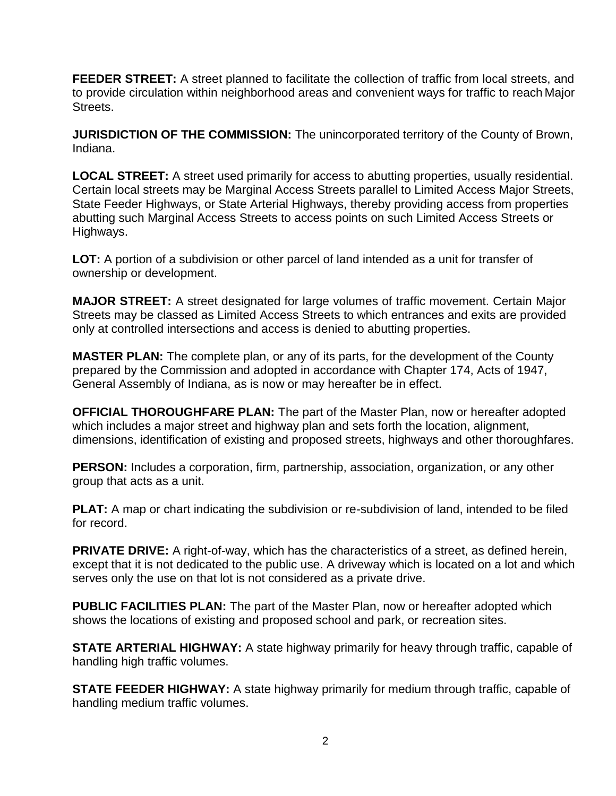**FEEDER STREET:** A street planned to facilitate the collection of traffic from local streets, and to provide circulation within neighborhood areas and convenient ways for traffic to reach Major Streets.

**JURISDICTION OF THE COMMISSION:** The unincorporated territory of the County of Brown, Indiana.

**LOCAL STREET:** A street used primarily for access to abutting properties, usually residential. Certain local streets may be Marginal Access Streets parallel to Limited Access Major Streets, State Feeder Highways, or State Arterial Highways, thereby providing access from properties abutting such Marginal Access Streets to access points on such Limited Access Streets or Highways.

**LOT:** A portion of a subdivision or other parcel of land intended as a unit for transfer of ownership or development.

**MAJOR STREET:** A street designated for large volumes of traffic movement. Certain Major Streets may be classed as Limited Access Streets to which entrances and exits are provided only at controlled intersections and access is denied to abutting properties.

**MASTER PLAN:** The complete plan, or any of its parts, for the development of the County prepared by the Commission and adopted in accordance with Chapter 174, Acts of 1947, General Assembly of Indiana, as is now or may hereafter be in effect.

**OFFICIAL THOROUGHFARE PLAN:** The part of the Master Plan, now or hereafter adopted which includes a major street and highway plan and sets forth the location, alignment, dimensions, identification of existing and proposed streets, highways and other thoroughfares.

**PERSON:** Includes a corporation, firm, partnership, association, organization, or any other group that acts as a unit.

**PLAT:** A map or chart indicating the subdivision or re-subdivision of land, intended to be filed for record.

**PRIVATE DRIVE:** A right-of-way, which has the characteristics of a street, as defined herein, except that it is not dedicated to the public use. A driveway which is located on a lot and which serves only the use on that lot is not considered as a private drive.

**PUBLIC FACILITIES PLAN:** The part of the Master Plan, now or hereafter adopted which shows the locations of existing and proposed school and park, or recreation sites.

**STATE ARTERIAL HIGHWAY:** A state highway primarily for heavy through traffic, capable of handling high traffic volumes.

**STATE FEEDER HIGHWAY:** A state highway primarily for medium through traffic, capable of handling medium traffic volumes.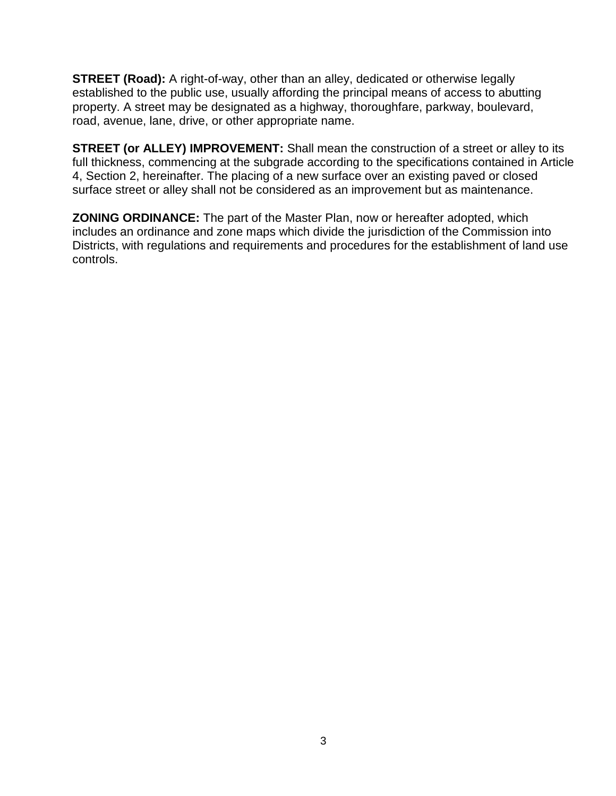**STREET (Road):** A right-of-way, other than an alley, dedicated or otherwise legally established to the public use, usually affording the principal means of access to abutting property. A street may be designated as a highway, thoroughfare, parkway, boulevard, road, avenue, lane, drive, or other appropriate name.

**STREET (or ALLEY) IMPROVEMENT:** Shall mean the construction of a street or alley to its full thickness, commencing at the subgrade according to the specifications contained in Article 4, Section 2, hereinafter. The placing of a new surface over an existing paved or closed surface street or alley shall not be considered as an improvement but as maintenance.

**ZONING ORDINANCE:** The part of the Master Plan, now or hereafter adopted, which includes an ordinance and zone maps which divide the jurisdiction of the Commission into Districts, with regulations and requirements and procedures for the establishment of land use controls.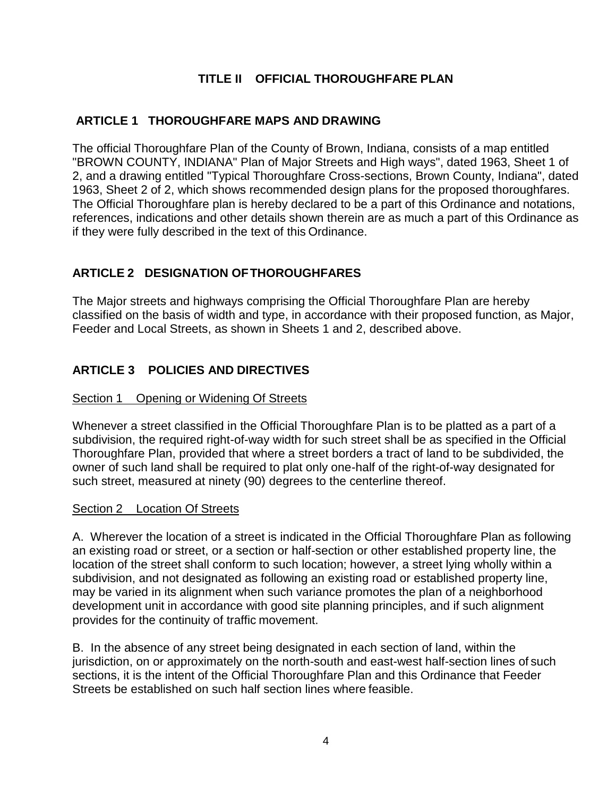# **TITLE II OFFICIAL THOROUGHFARE PLAN**

## **ARTICLE 1 THOROUGHFARE MAPS AND DRAWING**

The official Thoroughfare Plan of the County of Brown, Indiana, consists of a map entitled "BROWN COUNTY, INDIANA" Plan of Major Streets and High ways", dated 1963, Sheet 1 of 2, and a drawing entitled "Typical Thoroughfare Cross-sections, Brown County, Indiana", dated 1963, Sheet 2 of 2, which shows recommended design plans for the proposed thoroughfares. The Official Thoroughfare plan is hereby declared to be a part of this Ordinance and notations, references, indications and other details shown therein are as much a part of this Ordinance as if they were fully described in the text of this Ordinance.

## **ARTICLE 2 DESIGNATION OFTHOROUGHFARES**

The Major streets and highways comprising the Official Thoroughfare Plan are hereby classified on the basis of width and type, in accordance with their proposed function, as Major, Feeder and Local Streets, as shown in Sheets 1 and 2, described above.

## **ARTICLE 3 POLICIES AND DIRECTIVES**

#### Section 1 Opening or Widening Of Streets

Whenever a street classified in the Official Thoroughfare Plan is to be platted as a part of a subdivision, the required right-of-way width for such street shall be as specified in the Official Thoroughfare Plan, provided that where a street borders a tract of land to be subdivided, the owner of such land shall be required to plat only one-half of the right-of-way designated for such street, measured at ninety (90) degrees to the centerline thereof.

#### Section 2 Location Of Streets

A. Wherever the location of a street is indicated in the Official Thoroughfare Plan as following an existing road or street, or a section or half-section or other established property line, the location of the street shall conform to such location; however, a street lying wholly within a subdivision, and not designated as following an existing road or established property line, may be varied in its alignment when such variance promotes the plan of a neighborhood development unit in accordance with good site planning principles, and if such alignment provides for the continuity of traffic movement.

B. In the absence of any street being designated in each section of land, within the jurisdiction, on or approximately on the north-south and east-west half-section lines of such sections, it is the intent of the Official Thoroughfare Plan and this Ordinance that Feeder Streets be established on such half section lines where feasible.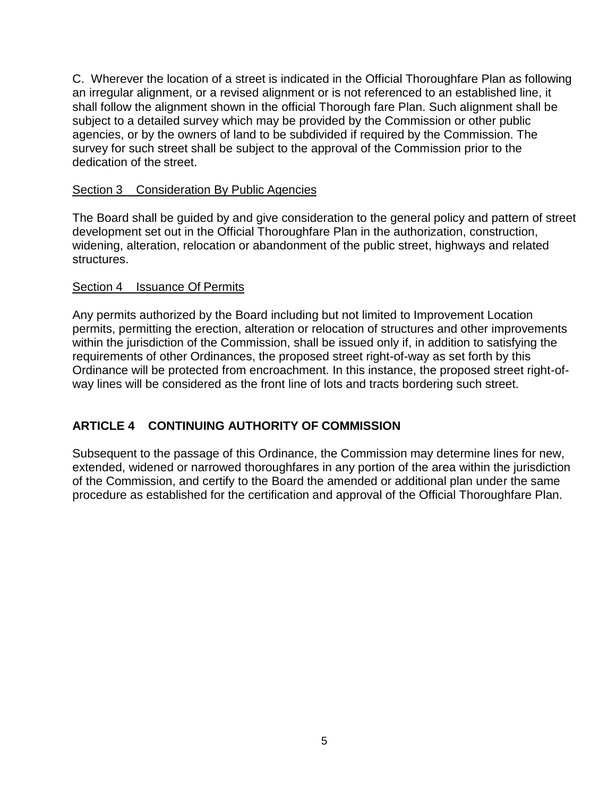C. Wherever the location of a street is indicated in the Official Thoroughfare Plan as following an irregular alignment, or a revised alignment or is not referenced to an established line, it shall follow the alignment shown in the official Thorough fare Plan. Such alignment shall be subject to a detailed survey which may be provided by the Commission or other public agencies, or by the owners of land to be subdivided if required by the Commission. The survey for such street shall be subject to the approval of the Commission prior to the dedication of the street.

### Section 3 Consideration By Public Agencies

The Board shall be guided by and give consideration to the general policy and pattern of street development set out in the Official Thoroughfare Plan in the authorization, construction, widening, alteration, relocation or abandonment of the public street, highways and related structures.

### Section 4 Issuance Of Permits

Any permits authorized by the Board including but not limited to Improvement Location permits, permitting the erection, alteration or relocation of structures and other improvements within the jurisdiction of the Commission, shall be issued only if, in addition to satisfying the requirements of other Ordinances, the proposed street right-of-way as set forth by this Ordinance will be protected from encroachment. In this instance, the proposed street right-ofway lines will be considered as the front line of lots and tracts bordering such street.

# **ARTICLE 4 CONTINUING AUTHORITY OF COMMISSION**

Subsequent to the passage of this Ordinance, the Commission may determine lines for new, extended, widened or narrowed thoroughfares in any portion of the area within the jurisdiction of the Commission, and certify to the Board the amended or additional plan under the same procedure as established for the certification and approval of the Official Thoroughfare Plan.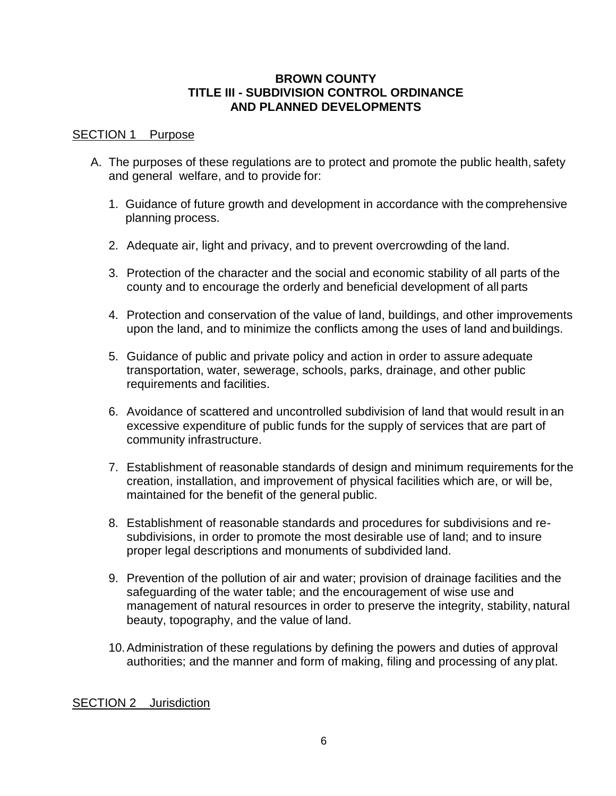#### **BROWN COUNTY TITLE III - SUBDIVISION CONTROL ORDINANCE AND PLANNED DEVELOPMENTS**

#### SECTION 1 Purpose

- A. The purposes of these regulations are to protect and promote the public health, safety and general welfare, and to provide for:
	- 1. Guidance of future growth and development in accordance with the comprehensive planning process.
	- 2. Adequate air, light and privacy, and to prevent overcrowding of the land.
	- 3. Protection of the character and the social and economic stability of all parts of the county and to encourage the orderly and beneficial development of all parts
	- 4. Protection and conservation of the value of land, buildings, and other improvements upon the land, and to minimize the conflicts among the uses of land and buildings.
	- 5. Guidance of public and private policy and action in order to assure adequate transportation, water, sewerage, schools, parks, drainage, and other public requirements and facilities.
	- 6. Avoidance of scattered and uncontrolled subdivision of land that would result in an excessive expenditure of public funds for the supply of services that are part of community infrastructure.
	- 7. Establishment of reasonable standards of design and minimum requirements for the creation, installation, and improvement of physical facilities which are, or will be, maintained for the benefit of the general public.
	- 8. Establishment of reasonable standards and procedures for subdivisions and resubdivisions, in order to promote the most desirable use of land; and to insure proper legal descriptions and monuments of subdivided land.
	- 9. Prevention of the pollution of air and water; provision of drainage facilities and the safeguarding of the water table; and the encouragement of wise use and management of natural resources in order to preserve the integrity, stability, natural beauty, topography, and the value of land.
	- 10.Administration of these regulations by defining the powers and duties of approval authorities; and the manner and form of making, filing and processing of any plat.

#### SECTION 2 Jurisdiction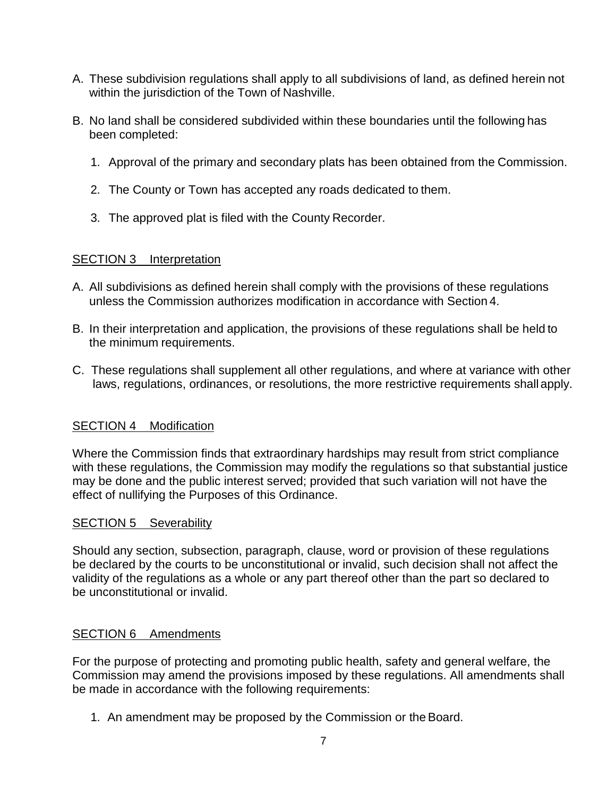- A. These subdivision regulations shall apply to all subdivisions of land, as defined herein not within the jurisdiction of the Town of Nashville.
- B. No land shall be considered subdivided within these boundaries until the following has been completed:
	- 1. Approval of the primary and secondary plats has been obtained from the Commission.
	- 2. The County or Town has accepted any roads dedicated to them.
	- 3. The approved plat is filed with the County Recorder.

## SECTION 3 Interpretation

- A. All subdivisions as defined herein shall comply with the provisions of these regulations unless the Commission authorizes modification in accordance with Section 4.
- B. In their interpretation and application, the provisions of these regulations shall be held to the minimum requirements.
- C. These regulations shall supplement all other regulations, and where at variance with other laws, regulations, ordinances, or resolutions, the more restrictive requirements shallapply.

# SECTION 4 Modification

Where the Commission finds that extraordinary hardships may result from strict compliance with these regulations, the Commission may modify the regulations so that substantial justice may be done and the public interest served; provided that such variation will not have the effect of nullifying the Purposes of this Ordinance.

## SECTION 5 Severability

Should any section, subsection, paragraph, clause, word or provision of these regulations be declared by the courts to be unconstitutional or invalid, such decision shall not affect the validity of the regulations as a whole or any part thereof other than the part so declared to be unconstitutional or invalid.

## SECTION 6 Amendments

For the purpose of protecting and promoting public health, safety and general welfare, the Commission may amend the provisions imposed by these regulations. All amendments shall be made in accordance with the following requirements:

1. An amendment may be proposed by the Commission or the Board.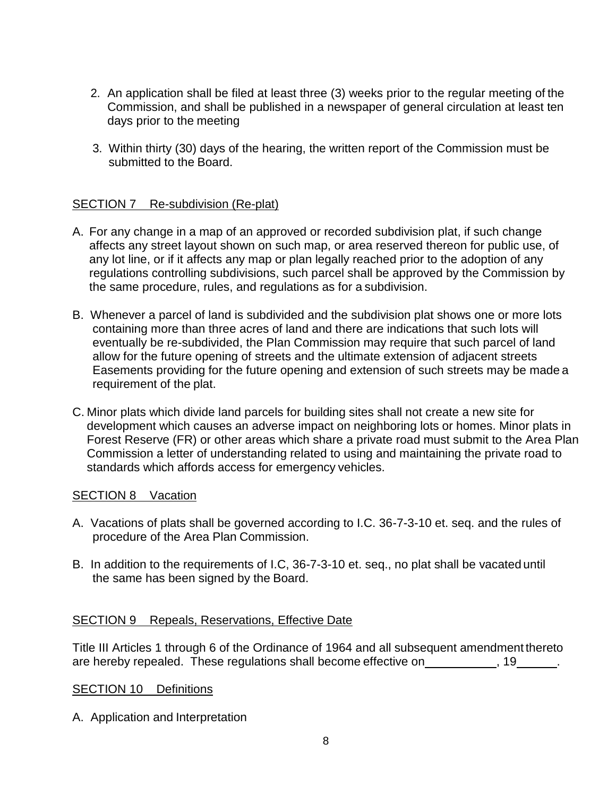- 2. An application shall be filed at least three (3) weeks prior to the regular meeting of the Commission, and shall be published in a newspaper of general circulation at least ten days prior to the meeting
- 3. Within thirty (30) days of the hearing, the written report of the Commission must be submitted to the Board.

## SECTION 7 Re-subdivision (Re-plat)

- A. For any change in a map of an approved or recorded subdivision plat, if such change affects any street layout shown on such map, or area reserved thereon for public use, of any lot line, or if it affects any map or plan legally reached prior to the adoption of any regulations controlling subdivisions, such parcel shall be approved by the Commission by the same procedure, rules, and regulations as for a subdivision.
- B. Whenever a parcel of land is subdivided and the subdivision plat shows one or more lots containing more than three acres of land and there are indications that such lots will eventually be re-subdivided, the Plan Commission may require that such parcel of land allow for the future opening of streets and the ultimate extension of adjacent streets Easements providing for the future opening and extension of such streets may be made a requirement of the plat.
- C. Minor plats which divide land parcels for building sites shall not create a new site for development which causes an adverse impact on neighboring lots or homes. Minor plats in Forest Reserve (FR) or other areas which share a private road must submit to the Area Plan Commission a letter of understanding related to using and maintaining the private road to standards which affords access for emergency vehicles.

### SECTION 8 Vacation

- A. Vacations of plats shall be governed according to I.C. 36-7-3-10 et. seq. and the rules of procedure of the Area Plan Commission.
- B. In addition to the requirements of I.C, 36-7-3-10 et. seq., no plat shall be vacated until the same has been signed by the Board.

#### SECTION 9 Repeals, Reservations, Effective Date

Title III Articles 1 through 6 of the Ordinance of 1964 and all subsequent amendment thereto are hereby repealed. These regulations shall become effective on , 19 ..., 19

#### SECTION 10 Definitions

A. Application and Interpretation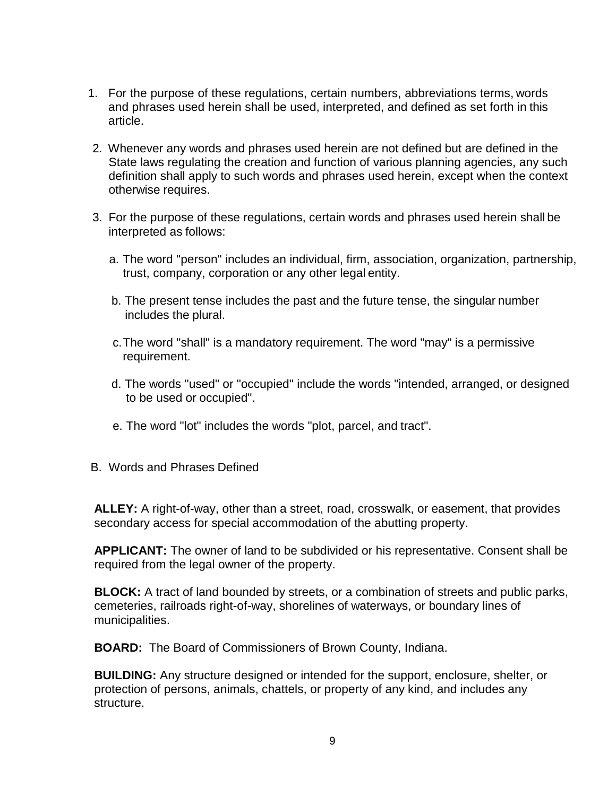- 1. For the purpose of these regulations, certain numbers, abbreviations terms, words and phrases used herein shall be used, interpreted, and defined as set forth in this article.
- 2. Whenever any words and phrases used herein are not defined but are defined in the State laws regulating the creation and function of various planning agencies, any such definition shall apply to such words and phrases used herein, except when the context otherwise requires.
- 3. For the purpose of these regulations, certain words and phrases used herein shall be interpreted as follows:
	- a. The word "person" includes an individual, firm, association, organization, partnership, trust, company, corporation or any other legal entity.
	- b. The present tense includes the past and the future tense, the singular number includes the plural.
	- c.The word "shall" is a mandatory requirement. The word "may" is a permissive requirement.
	- d. The words "used" or "occupied" include the words "intended, arranged, or designed to be used or occupied".
	- e. The word "lot" includes the words "plot, parcel, and tract".
- B. Words and Phrases Defined

**ALLEY:** A right-of-way, other than a street, road, crosswalk, or easement, that provides secondary access for special accommodation of the abutting property.

**APPLICANT:** The owner of land to be subdivided or his representative. Consent shall be required from the legal owner of the property.

**BLOCK:** A tract of land bounded by streets, or a combination of streets and public parks, cemeteries, railroads right-of-way, shorelines of waterways, or boundary lines of municipalities.

**BOARD:** The Board of Commissioners of Brown County, Indiana.

**BUILDING:** Any structure designed or intended for the support, enclosure, shelter, or protection of persons, animals, chattels, or property of any kind, and includes any structure.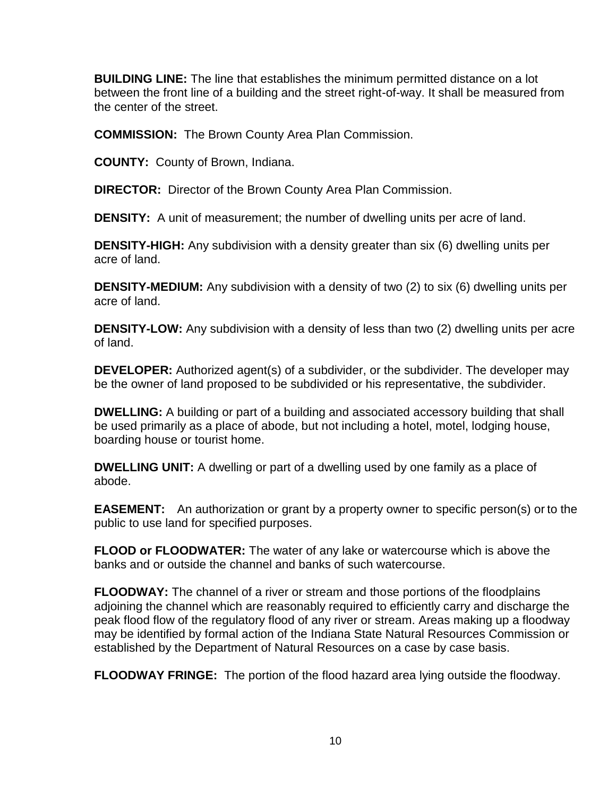**BUILDING LINE:** The line that establishes the minimum permitted distance on a lot between the front line of a building and the street right-of-way. It shall be measured from the center of the street.

**COMMISSION:** The Brown County Area Plan Commission.

**COUNTY:** County of Brown, Indiana.

**DIRECTOR:** Director of the Brown County Area Plan Commission.

**DENSITY:** A unit of measurement; the number of dwelling units per acre of land.

**DENSITY-HIGH:** Any subdivision with a density greater than six (6) dwelling units per acre of land.

**DENSITY-MEDIUM:** Any subdivision with a density of two (2) to six (6) dwelling units per acre of land.

**DENSITY-LOW:** Any subdivision with a density of less than two (2) dwelling units per acre of land.

**DEVELOPER:** Authorized agent(s) of a subdivider, or the subdivider. The developer may be the owner of land proposed to be subdivided or his representative, the subdivider.

**DWELLING:** A building or part of a building and associated accessory building that shall be used primarily as a place of abode, but not including a hotel, motel, lodging house, boarding house or tourist home.

**DWELLING UNIT:** A dwelling or part of a dwelling used by one family as a place of abode.

**EASEMENT:** An authorization or grant by a property owner to specific person(s) or to the public to use land for specified purposes.

**FLOOD or FLOODWATER:** The water of any lake or watercourse which is above the banks and or outside the channel and banks of such watercourse.

**FLOODWAY:** The channel of a river or stream and those portions of the floodplains adjoining the channel which are reasonably required to efficiently carry and discharge the peak flood flow of the regulatory flood of any river or stream. Areas making up a floodway may be identified by formal action of the Indiana State Natural Resources Commission or established by the Department of Natural Resources on a case by case basis.

**FLOODWAY FRINGE:** The portion of the flood hazard area lying outside the floodway.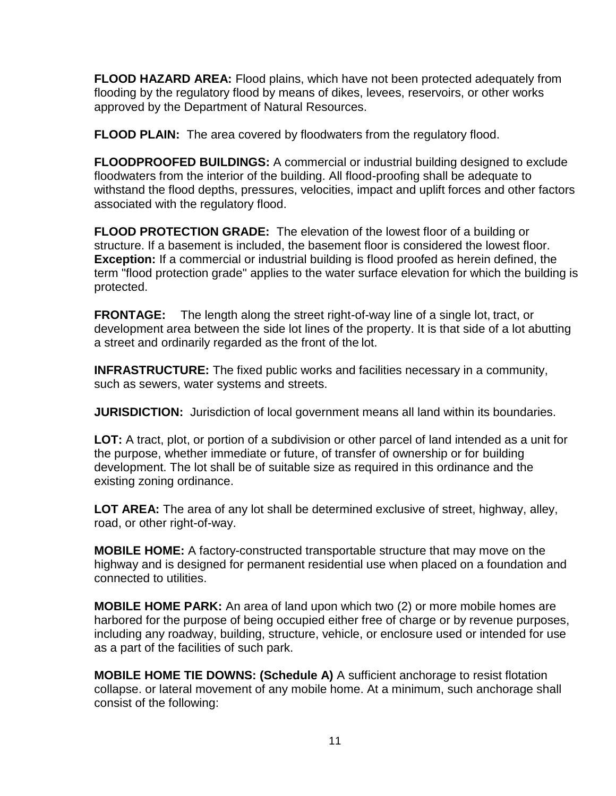**FLOOD HAZARD AREA:** Flood plains, which have not been protected adequately from flooding by the regulatory flood by means of dikes, levees, reservoirs, or other works approved by the Department of Natural Resources.

**FLOOD PLAIN:** The area covered by floodwaters from the regulatory flood.

**FLOODPROOFED BUILDINGS:** A commercial or industrial building designed to exclude floodwaters from the interior of the building. All flood-proofing shall be adequate to withstand the flood depths, pressures, velocities, impact and uplift forces and other factors associated with the regulatory flood.

**FLOOD PROTECTION GRADE:** The elevation of the lowest floor of a building or structure. If a basement is included, the basement floor is considered the lowest floor. **Exception:** If a commercial or industrial building is flood proofed as herein defined, the term "flood protection grade" applies to the water surface elevation for which the building is protected.

**FRONTAGE:** The length along the street right-of-way line of a single lot, tract, or development area between the side lot lines of the property. It is that side of a lot abutting a street and ordinarily regarded as the front of the lot.

**INFRASTRUCTURE:** The fixed public works and facilities necessary in a community, such as sewers, water systems and streets.

**JURISDICTION:** Jurisdiction of local government means all land within its boundaries.

**LOT:** A tract, plot, or portion of a subdivision or other parcel of land intended as a unit for the purpose, whether immediate or future, of transfer of ownership or for building development. The lot shall be of suitable size as required in this ordinance and the existing zoning ordinance.

**LOT AREA:** The area of any lot shall be determined exclusive of street, highway, alley, road, or other right-of-way.

**MOBILE HOME:** A factory-constructed transportable structure that may move on the highway and is designed for permanent residential use when placed on a foundation and connected to utilities.

**MOBILE HOME PARK:** An area of land upon which two (2) or more mobile homes are harbored for the purpose of being occupied either free of charge or by revenue purposes, including any roadway, building, structure, vehicle, or enclosure used or intended for use as a part of the facilities of such park.

**MOBILE HOME TIE DOWNS: (Schedule A)** A sufficient anchorage to resist flotation collapse. or lateral movement of any mobile home. At a minimum, such anchorage shall consist of the following: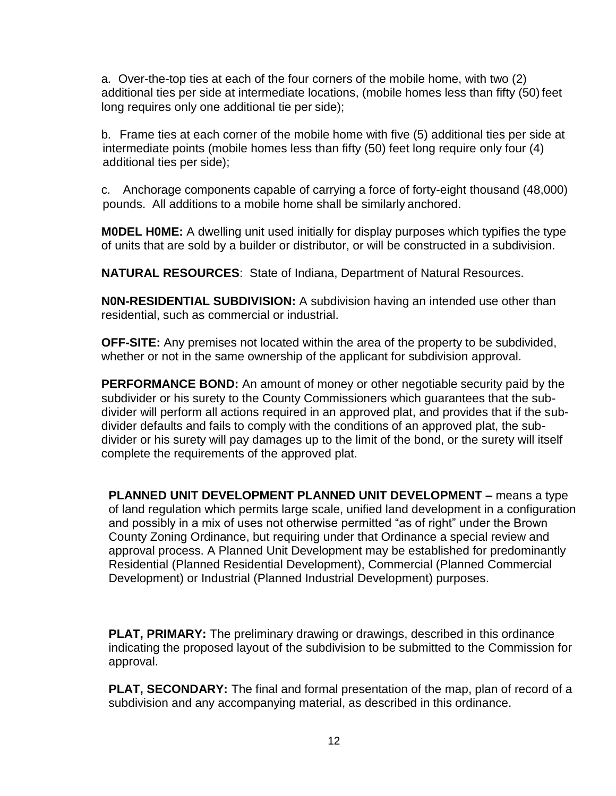a. Over-the-top ties at each of the four corners of the mobile home, with two (2) additional ties per side at intermediate locations, (mobile homes less than fifty (50) feet long requires only one additional tie per side);

b. Frame ties at each corner of the mobile home with five (5) additional ties per side at intermediate points (mobile homes less than fifty (50) feet long require only four (4) additional ties per side);

c. Anchorage components capable of carrying a force of forty-eight thousand (48,000) pounds. All additions to a mobile home shall be similarly anchored.

**M0DEL H0ME:** A dwelling unit used initially for display purposes which typifies the type of units that are sold by a builder or distributor, or will be constructed in a subdivision.

**NATURAL RESOURCES**: State of Indiana, Department of Natural Resources.

**N0N-RESIDENTIAL SUBDIVISION:** A subdivision having an intended use other than residential, such as commercial or industrial.

**OFF-SITE:** Any premises not located within the area of the property to be subdivided, whether or not in the same ownership of the applicant for subdivision approval.

**PERFORMANCE BOND:** An amount of money or other negotiable security paid by the subdivider or his surety to the County Commissioners which guarantees that the subdivider will perform all actions required in an approved plat, and provides that if the subdivider defaults and fails to comply with the conditions of an approved plat, the subdivider or his surety will pay damages up to the limit of the bond, or the surety will itself complete the requirements of the approved plat.

**PLANNED UNIT DEVELOPMENT PLANNED UNIT DEVELOPMENT –** means a type of land regulation which permits large scale, unified land development in a configuration and possibly in a mix of uses not otherwise permitted "as of right" under the Brown County Zoning Ordinance, but requiring under that Ordinance a special review and approval process. A Planned Unit Development may be established for predominantly Residential (Planned Residential Development), Commercial (Planned Commercial Development) or Industrial (Planned Industrial Development) purposes.

**PLAT, PRIMARY:** The preliminary drawing or drawings, described in this ordinance indicating the proposed layout of the subdivision to be submitted to the Commission for approval.

**PLAT, SECONDARY:** The final and formal presentation of the map, plan of record of a subdivision and any accompanying material, as described in this ordinance.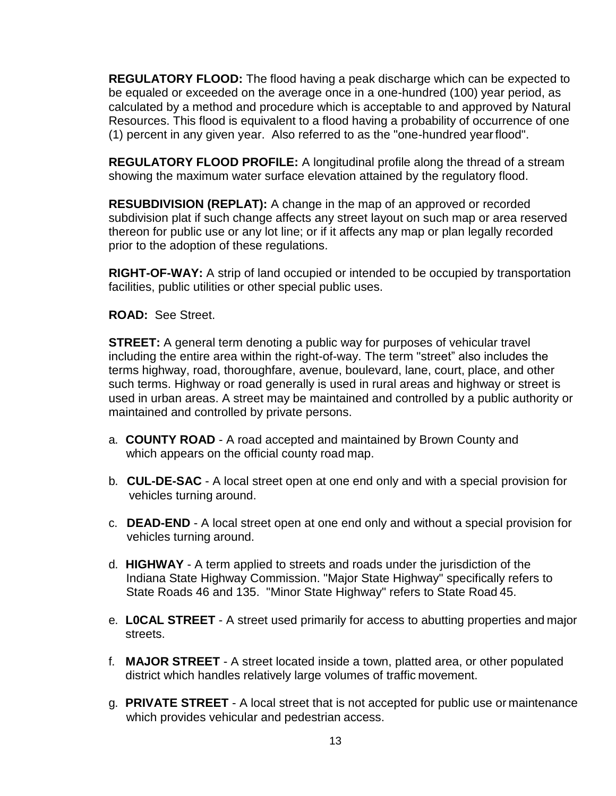**REGULATORY FLOOD:** The flood having a peak discharge which can be expected to be equaled or exceeded on the average once in a one-hundred (100) year period, as calculated by a method and procedure which is acceptable to and approved by Natural Resources. This flood is equivalent to a flood having a probability of occurrence of one (1) percent in any given year. Also referred to as the "one-hundred yearflood".

**REGULATORY FLOOD PROFILE:** A longitudinal profile along the thread of a stream showing the maximum water surface elevation attained by the regulatory flood.

**RESUBDIVISION (REPLAT):** A change in the map of an approved or recorded subdivision plat if such change affects any street layout on such map or area reserved thereon for public use or any lot line; or if it affects any map or plan legally recorded prior to the adoption of these regulations.

**RIGHT-OF-WAY:** A strip of land occupied or intended to be occupied by transportation facilities, public utilities or other special public uses.

**ROAD:** See Street.

**STREET:** A general term denoting a public way for purposes of vehicular travel including the entire area within the right-of-way. The term "street" also includes the terms highway, road, thoroughfare, avenue, boulevard, lane, court, place, and other such terms. Highway or road generally is used in rural areas and highway or street is used in urban areas. A street may be maintained and controlled by a public authority or maintained and controlled by private persons.

- a. **COUNTY ROAD**  A road accepted and maintained by Brown County and which appears on the official county road map.
- b. **CUL-DE-SAC**  A local street open at one end only and with a special provision for vehicles turning around.
- c. **DEAD-END**  A local street open at one end only and without a special provision for vehicles turning around.
- d. **HIGHWAY**  A term applied to streets and roads under the jurisdiction of the Indiana State Highway Commission. "Major State Highway" specifically refers to State Roads 46 and 135. "Minor State Highway" refers to State Road 45.
- e. **L0CAL STREET**  A street used primarily for access to abutting properties and major streets.
- f. **MAJOR STREET**  A street located inside a town, platted area, or other populated district which handles relatively large volumes of traffic movement.
- g. **PRIVATE STREET**  A local street that is not accepted for public use or maintenance which provides vehicular and pedestrian access.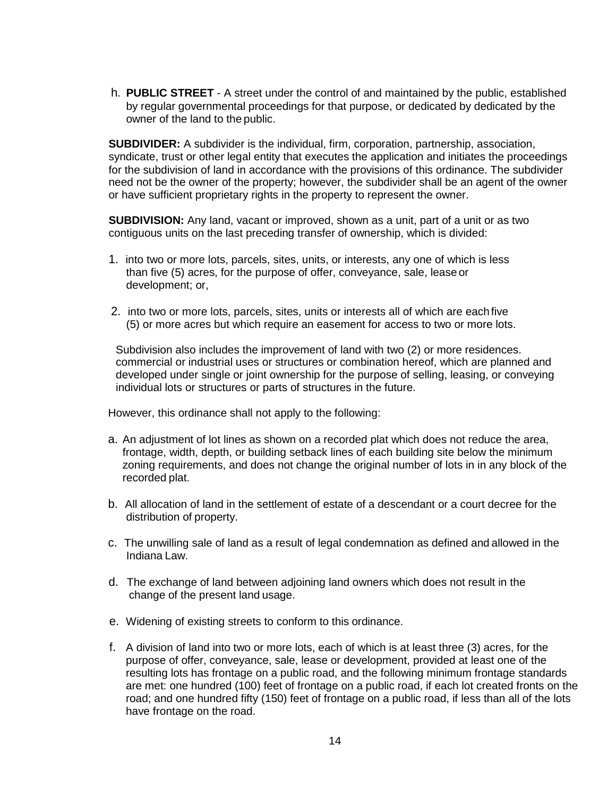h. **PUBLIC STREET** - A street under the control of and maintained by the public, established by regular governmental proceedings for that purpose, or dedicated by dedicated by the owner of the land to the public.

**SUBDIVIDER:** A subdivider is the individual, firm, corporation, partnership, association, syndicate, trust or other legal entity that executes the application and initiates the proceedings for the subdivision of land in accordance with the provisions of this ordinance. The subdivider need not be the owner of the property; however, the subdivider shall be an agent of the owner or have sufficient proprietary rights in the property to represent the owner.

**SUBDIVISION:** Any land, vacant or improved, shown as a unit, part of a unit or as two contiguous units on the last preceding transfer of ownership, which is divided:

- 1. into two or more lots, parcels, sites, units, or interests, any one of which is less than five (5) acres, for the purpose of offer, conveyance, sale, lease or development; or,
- 2. into two or more lots, parcels, sites, units or interests all of which are each five (5) or more acres but which require an easement for access to two or more lots.

Subdivision also includes the improvement of land with two (2) or more residences. commercial or industrial uses or structures or combination hereof, which are planned and developed under single or joint ownership for the purpose of selling, leasing, or conveying individual lots or structures or parts of structures in the future.

However, this ordinance shall not apply to the following:

- a. An adjustment of lot lines as shown on a recorded plat which does not reduce the area, frontage, width, depth, or building setback lines of each building site below the minimum zoning requirements, and does not change the original number of lots in in any block of the recorded plat.
- b. All allocation of land in the settlement of estate of a descendant or a court decree for the distribution of property.
- c. The unwilling sale of land as a result of legal condemnation as defined and allowed in the Indiana Law.
- d. The exchange of land between adjoining land owners which does not result in the change of the present land usage.
- e. Widening of existing streets to conform to this ordinance.
- f. A division of land into two or more lots, each of which is at least three (3) acres, for the purpose of offer, conveyance, sale, lease or development, provided at least one of the resulting lots has frontage on a public road, and the following minimum frontage standards are met: one hundred (100) feet of frontage on a public road, if each lot created fronts on the road; and one hundred fifty (150) feet of frontage on a public road, if less than all of the lots have frontage on the road.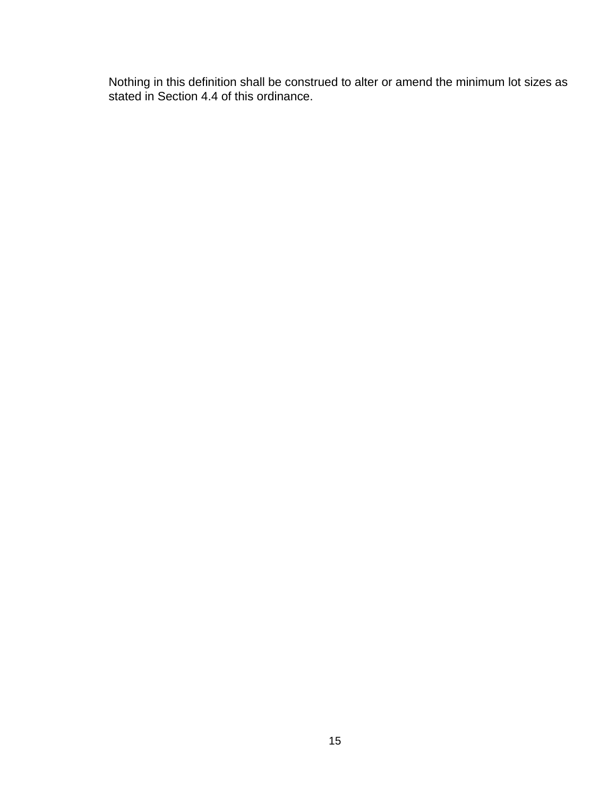Nothing in this definition shall be construed to alter or amend the minimum lot sizes as stated in Section 4.4 of this ordinance.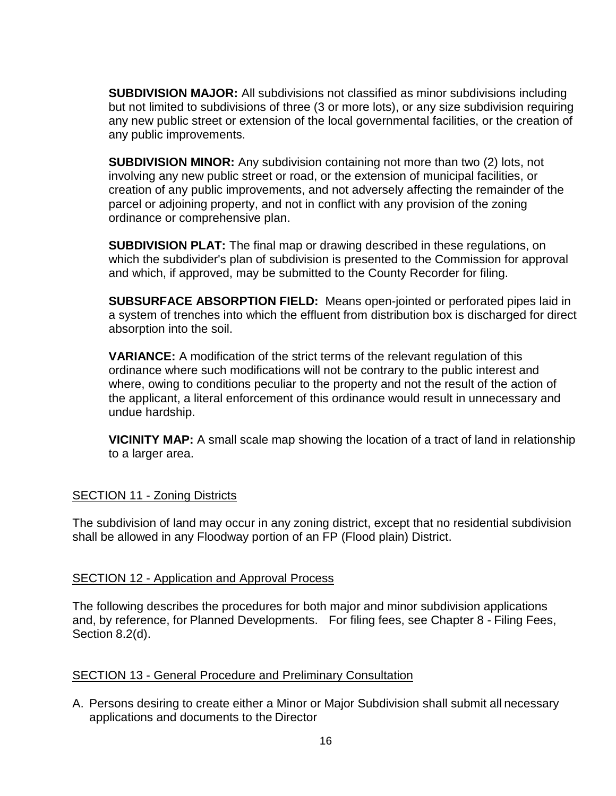**SUBDIVISION MAJOR:** All subdivisions not classified as minor subdivisions including but not limited to subdivisions of three (3 or more lots), or any size subdivision requiring any new public street or extension of the local governmental facilities, or the creation of any public improvements.

**SUBDIVISION MINOR:** Any subdivision containing not more than two (2) lots, not involving any new public street or road, or the extension of municipal facilities, or creation of any public improvements, and not adversely affecting the remainder of the parcel or adjoining property, and not in conflict with any provision of the zoning ordinance or comprehensive plan.

**SUBDIVISION PLAT:** The final map or drawing described in these regulations, on which the subdivider's plan of subdivision is presented to the Commission for approval and which, if approved, may be submitted to the County Recorder for filing.

**SUBSURFACE ABSORPTION FIELD:** Means open-jointed or perforated pipes laid in a system of trenches into which the effluent from distribution box is discharged for direct absorption into the soil.

**VARIANCE:** A modification of the strict terms of the relevant regulation of this ordinance where such modifications will not be contrary to the public interest and where, owing to conditions peculiar to the property and not the result of the action of the applicant, a literal enforcement of this ordinance would result in unnecessary and undue hardship.

**VICINITY MAP:** A small scale map showing the location of a tract of land in relationship to a larger area.

#### SECTION 11 - Zoning Districts

The subdivision of land may occur in any zoning district, except that no residential subdivision shall be allowed in any Floodway portion of an FP (Flood plain) District.

#### SECTION 12 - Application and Approval Process

The following describes the procedures for both major and minor subdivision applications and, by reference, for Planned Developments. For filing fees, see Chapter 8 - Filing Fees, Section 8.2(d).

#### SECTION 13 - General Procedure and Preliminary Consultation

A. Persons desiring to create either a Minor or Major Subdivision shall submit all necessary applications and documents to the Director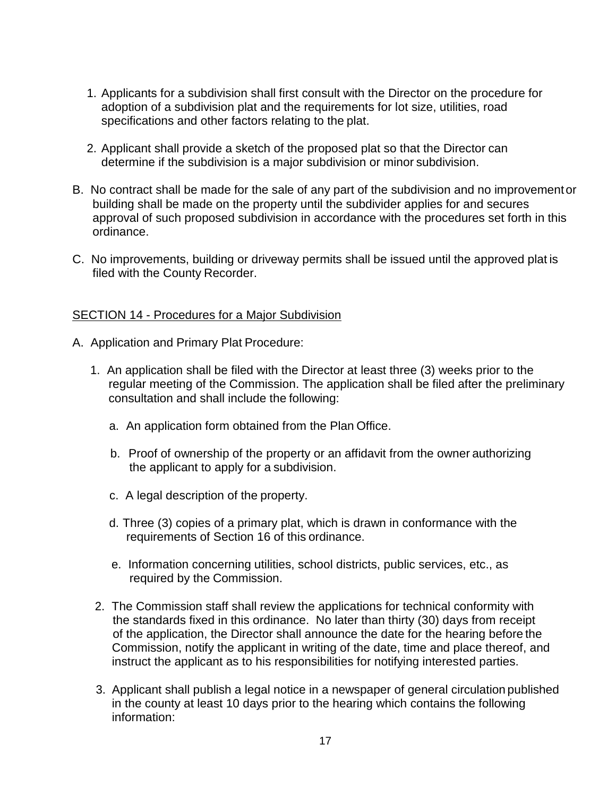- 1. Applicants for a subdivision shall first consult with the Director on the procedure for adoption of a subdivision plat and the requirements for lot size, utilities, road specifications and other factors relating to the plat.
- 2. Applicant shall provide a sketch of the proposed plat so that the Director can determine if the subdivision is a major subdivision or minor subdivision.
- B. No contract shall be made for the sale of any part of the subdivision and no improvementor building shall be made on the property until the subdivider applies for and secures approval of such proposed subdivision in accordance with the procedures set forth in this ordinance.
- C. No improvements, building or driveway permits shall be issued until the approved plat is filed with the County Recorder.

#### SECTION 14 - Procedures for a Major Subdivision

- A. Application and Primary Plat Procedure:
	- 1. An application shall be filed with the Director at least three (3) weeks prior to the regular meeting of the Commission. The application shall be filed after the preliminary consultation and shall include the following:
		- a. An application form obtained from the Plan Office.
		- b. Proof of ownership of the property or an affidavit from the owner authorizing the applicant to apply for a subdivision.
		- c. A legal description of the property.
		- d. Three (3) copies of a primary plat, which is drawn in conformance with the requirements of Section 16 of this ordinance.
		- e. Information concerning utilities, school districts, public services, etc., as required by the Commission.
	- 2. The Commission staff shall review the applications for technical conformity with the standards fixed in this ordinance. No later than thirty (30) days from receipt of the application, the Director shall announce the date for the hearing before the Commission, notify the applicant in writing of the date, time and place thereof, and instruct the applicant as to his responsibilities for notifying interested parties.
	- 3. Applicant shall publish a legal notice in a newspaper of general circulation published in the county at least 10 days prior to the hearing which contains the following information: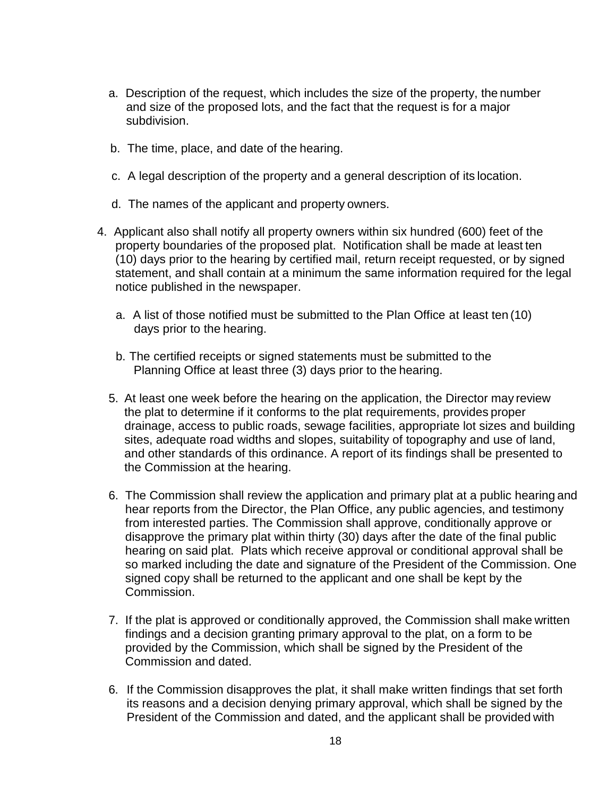- a. Description of the request, which includes the size of the property, the number and size of the proposed lots, and the fact that the request is for a major subdivision.
- b. The time, place, and date of the hearing.
- c. A legal description of the property and a general description of its location.
- d. The names of the applicant and property owners.
- 4. Applicant also shall notify all property owners within six hundred (600) feet of the property boundaries of the proposed plat. Notification shall be made at least ten (10) days prior to the hearing by certified mail, return receipt requested, or by signed statement, and shall contain at a minimum the same information required for the legal notice published in the newspaper.
	- a. A list of those notified must be submitted to the Plan Office at least ten (10) days prior to the hearing.
	- b. The certified receipts or signed statements must be submitted to the Planning Office at least three (3) days prior to the hearing.
	- 5. At least one week before the hearing on the application, the Director may review the plat to determine if it conforms to the plat requirements, provides proper drainage, access to public roads, sewage facilities, appropriate lot sizes and building sites, adequate road widths and slopes, suitability of topography and use of land, and other standards of this ordinance. A report of its findings shall be presented to the Commission at the hearing.
	- 6. The Commission shall review the application and primary plat at a public hearing and hear reports from the Director, the Plan Office, any public agencies, and testimony from interested parties. The Commission shall approve, conditionally approve or disapprove the primary plat within thirty (30) days after the date of the final public hearing on said plat. Plats which receive approval or conditional approval shall be so marked including the date and signature of the President of the Commission. One signed copy shall be returned to the applicant and one shall be kept by the Commission.
	- 7. If the plat is approved or conditionally approved, the Commission shall make written findings and a decision granting primary approval to the plat, on a form to be provided by the Commission, which shall be signed by the President of the Commission and dated.
	- 6. If the Commission disapproves the plat, it shall make written findings that set forth its reasons and a decision denying primary approval, which shall be signed by the President of the Commission and dated, and the applicant shall be provided with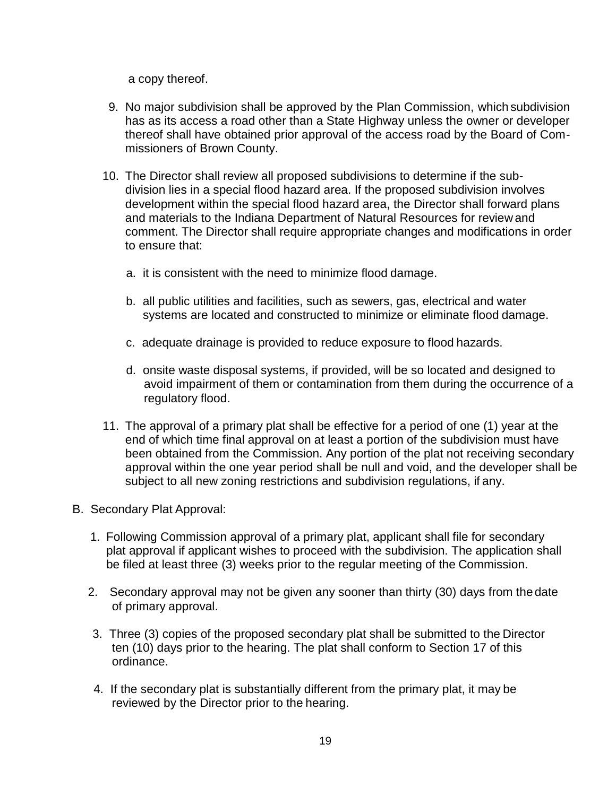a copy thereof.

- 9. No major subdivision shall be approved by the Plan Commission, which subdivision has as its access a road other than a State Highway unless the owner or developer thereof shall have obtained prior approval of the access road by the Board of Commissioners of Brown County.
- 10. The Director shall review all proposed subdivisions to determine if the subdivision lies in a special flood hazard area. If the proposed subdivision involves development within the special flood hazard area, the Director shall forward plans and materials to the Indiana Department of Natural Resources for reviewand comment. The Director shall require appropriate changes and modifications in order to ensure that:
	- a. it is consistent with the need to minimize flood damage.
	- b. all public utilities and facilities, such as sewers, gas, electrical and water systems are located and constructed to minimize or eliminate flood damage.
	- c. adequate drainage is provided to reduce exposure to flood hazards.
	- d. onsite waste disposal systems, if provided, will be so located and designed to avoid impairment of them or contamination from them during the occurrence of a regulatory flood.
- 11. The approval of a primary plat shall be effective for a period of one (1) year at the end of which time final approval on at least a portion of the subdivision must have been obtained from the Commission. Any portion of the plat not receiving secondary approval within the one year period shall be null and void, and the developer shall be subject to all new zoning restrictions and subdivision regulations, if any.
- B. Secondary Plat Approval:
	- 1. Following Commission approval of a primary plat, applicant shall file for secondary plat approval if applicant wishes to proceed with the subdivision. The application shall be filed at least three (3) weeks prior to the regular meeting of the Commission.
	- 2. Secondary approval may not be given any sooner than thirty (30) days from thedate of primary approval.
	- 3. Three (3) copies of the proposed secondary plat shall be submitted to the Director ten (10) days prior to the hearing. The plat shall conform to Section 17 of this ordinance.
	- 4. If the secondary plat is substantially different from the primary plat, it may be reviewed by the Director prior to the hearing.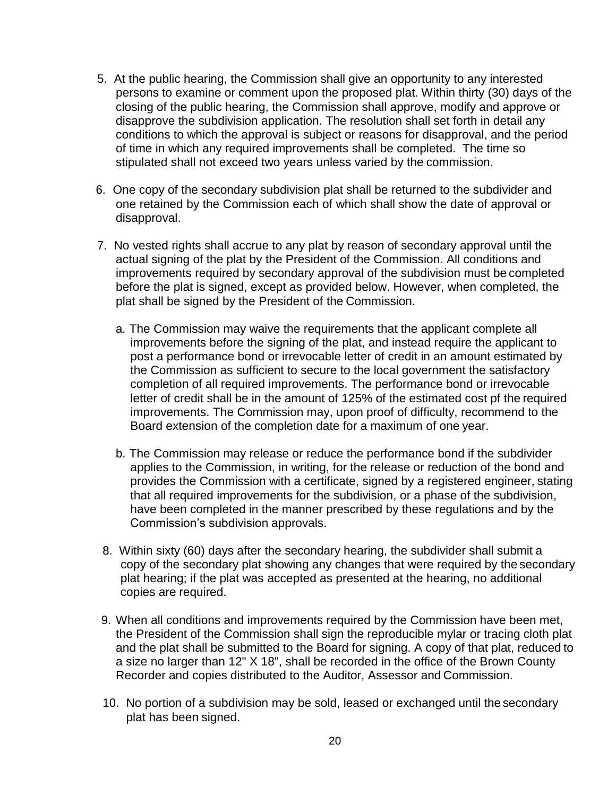- 5. At the public hearing, the Commission shall give an opportunity to any interested persons to examine or comment upon the proposed plat. Within thirty (30) days of the closing of the public hearing, the Commission shall approve, modify and approve or disapprove the subdivision application. The resolution shall set forth in detail any conditions to which the approval is subject or reasons for disapproval, and the period of time in which any required improvements shall be completed. The time so stipulated shall not exceed two years unless varied by the commission.
- 6. One copy of the secondary subdivision plat shall be returned to the subdivider and one retained by the Commission each of which shall show the date of approval or disapproval.
- 7. No vested rights shall accrue to any plat by reason of secondary approval until the actual signing of the plat by the President of the Commission. All conditions and improvements required by secondary approval of the subdivision must be completed before the plat is signed, except as provided below. However, when completed, the plat shall be signed by the President of the Commission.
	- a. The Commission may waive the requirements that the applicant complete all improvements before the signing of the plat, and instead require the applicant to post a performance bond or irrevocable letter of credit in an amount estimated by the Commission as sufficient to secure to the local government the satisfactory completion of all required improvements. The performance bond or irrevocable letter of credit shall be in the amount of 125% of the estimated cost pf the required improvements. The Commission may, upon proof of difficulty, recommend to the Board extension of the completion date for a maximum of one year.
	- b. The Commission may release or reduce the performance bond if the subdivider applies to the Commission, in writing, for the release or reduction of the bond and provides the Commission with a certificate, signed by a registered engineer, stating that all required improvements for the subdivision, or a phase of the subdivision, have been completed in the manner prescribed by these regulations and by the Commission's subdivision approvals.
- 8. Within sixty (60) days after the secondary hearing, the subdivider shall submit a copy of the secondary plat showing any changes that were required by the secondary plat hearing; if the plat was accepted as presented at the hearing, no additional copies are required.
- 9. When all conditions and improvements required by the Commission have been met, the President of the Commission shall sign the reproducible mylar or tracing cloth plat and the plat shall be submitted to the Board for signing. A copy of that plat, reduced to a size no larger than 12" X 18", shall be recorded in the office of the Brown County Recorder and copies distributed to the Auditor, Assessor and Commission.
- 10. No portion of a subdivision may be sold, leased or exchanged until the secondary plat has been signed.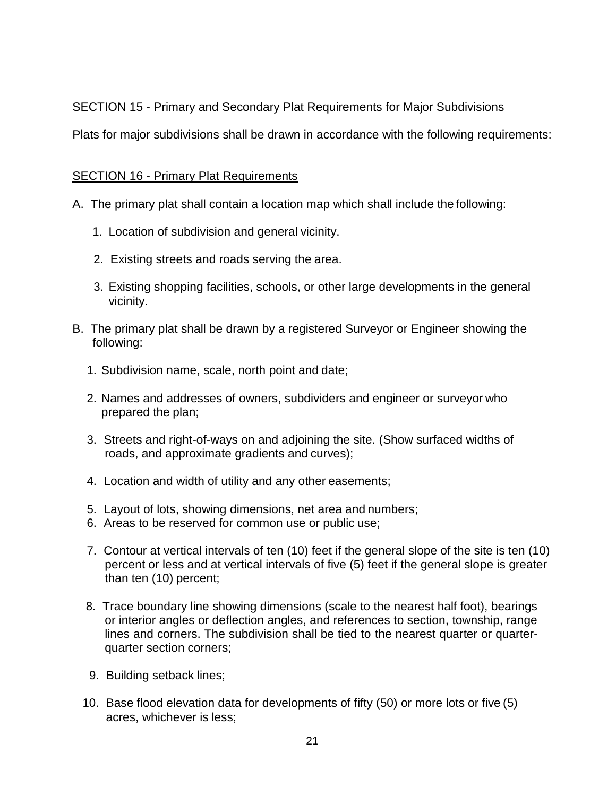## SECTION 15 - Primary and Secondary Plat Requirements for Major Subdivisions

Plats for major subdivisions shall be drawn in accordance with the following requirements:

#### SECTION 16 - Primary Plat Requirements

- A. The primary plat shall contain a location map which shall include the following:
	- 1. Location of subdivision and general vicinity.
	- 2. Existing streets and roads serving the area.
	- 3. Existing shopping facilities, schools, or other large developments in the general vicinity.
- B. The primary plat shall be drawn by a registered Surveyor or Engineer showing the following:
	- 1. Subdivision name, scale, north point and date;
	- 2. Names and addresses of owners, subdividers and engineer or surveyor who prepared the plan;
	- 3. Streets and right-of-ways on and adjoining the site. (Show surfaced widths of roads, and approximate gradients and curves);
	- 4. Location and width of utility and any other easements;
	- 5. Layout of lots, showing dimensions, net area and numbers;
	- 6. Areas to be reserved for common use or public use;
	- 7. Contour at vertical intervals of ten (10) feet if the general slope of the site is ten (10) percent or less and at vertical intervals of five (5) feet if the general slope is greater than ten (10) percent;
	- 8. Trace boundary line showing dimensions (scale to the nearest half foot), bearings or interior angles or deflection angles, and references to section, township, range lines and corners. The subdivision shall be tied to the nearest quarter or quarterquarter section corners;
	- 9. Building setback lines;
	- 10. Base flood elevation data for developments of fifty (50) or more lots or five (5) acres, whichever is less;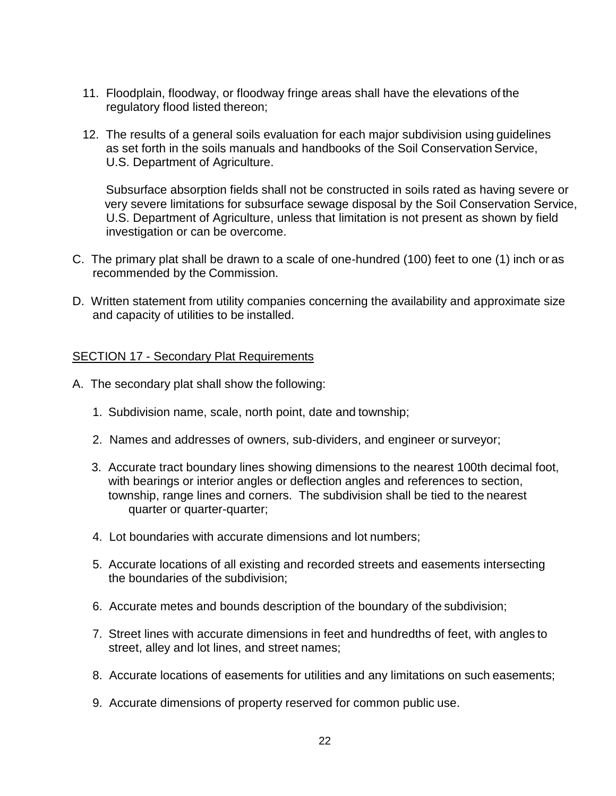- 11. Floodplain, floodway, or floodway fringe areas shall have the elevations of the regulatory flood listed thereon;
- 12. The results of a general soils evaluation for each major subdivision using guidelines as set forth in the soils manuals and handbooks of the Soil Conservation Service, U.S. Department of Agriculture.

Subsurface absorption fields shall not be constructed in soils rated as having severe or very severe limitations for subsurface sewage disposal by the Soil Conservation Service, U.S. Department of Agriculture, unless that limitation is not present as shown by field investigation or can be overcome.

- C. The primary plat shall be drawn to a scale of one-hundred (100) feet to one (1) inch or as recommended by the Commission.
- D. Written statement from utility companies concerning the availability and approximate size and capacity of utilities to be installed.

#### SECTION 17 - Secondary Plat Requirements

- A. The secondary plat shall show the following:
	- 1. Subdivision name, scale, north point, date and township;
	- 2. Names and addresses of owners, sub-dividers, and engineer or surveyor;
	- 3. Accurate tract boundary lines showing dimensions to the nearest 100th decimal foot, with bearings or interior angles or deflection angles and references to section, township, range lines and corners. The subdivision shall be tied to the nearest quarter or quarter-quarter;
	- 4. Lot boundaries with accurate dimensions and lot numbers;
	- 5. Accurate locations of all existing and recorded streets and easements intersecting the boundaries of the subdivision;
	- 6. Accurate metes and bounds description of the boundary of the subdivision;
	- 7. Street lines with accurate dimensions in feet and hundredths of feet, with angles to street, alley and lot lines, and street names;
	- 8. Accurate locations of easements for utilities and any limitations on such easements;
	- 9. Accurate dimensions of property reserved for common public use.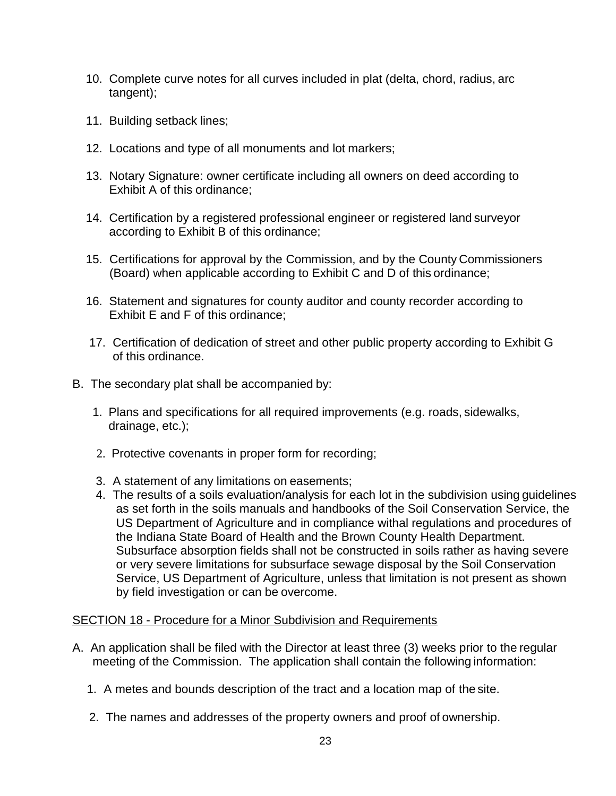- 10. Complete curve notes for all curves included in plat (delta, chord, radius, arc tangent);
- 11. Building setback lines;
- 12. Locations and type of all monuments and lot markers;
- 13. Notary Signature: owner certificate including all owners on deed according to Exhibit A of this ordinance;
- 14. Certification by a registered professional engineer or registered land surveyor according to Exhibit B of this ordinance;
- 15. Certifications for approval by the Commission, and by the County Commissioners (Board) when applicable according to Exhibit C and D of this ordinance;
- 16. Statement and signatures for county auditor and county recorder according to Exhibit E and F of this ordinance;
- 17. Certification of dedication of street and other public property according to Exhibit G of this ordinance.
- B. The secondary plat shall be accompanied by:
	- 1. Plans and specifications for all required improvements (e.g. roads, sidewalks, drainage, etc.);
	- 2. Protective covenants in proper form for recording;
	- 3. A statement of any limitations on easements;
	- 4. The results of a soils evaluation/analysis for each lot in the subdivision using guidelines as set forth in the soils manuals and handbooks of the Soil Conservation Service, the US Department of Agriculture and in compliance withal regulations and procedures of the Indiana State Board of Health and the Brown County Health Department. Subsurface absorption fields shall not be constructed in soils rather as having severe or very severe limitations for subsurface sewage disposal by the Soil Conservation Service, US Department of Agriculture, unless that limitation is not present as shown by field investigation or can be overcome.

#### SECTION 18 - Procedure for a Minor Subdivision and Requirements

- A. An application shall be filed with the Director at least three (3) weeks prior to the regular meeting of the Commission. The application shall contain the following information:
	- 1. A metes and bounds description of the tract and a location map of the site.
	- 2. The names and addresses of the property owners and proof of ownership.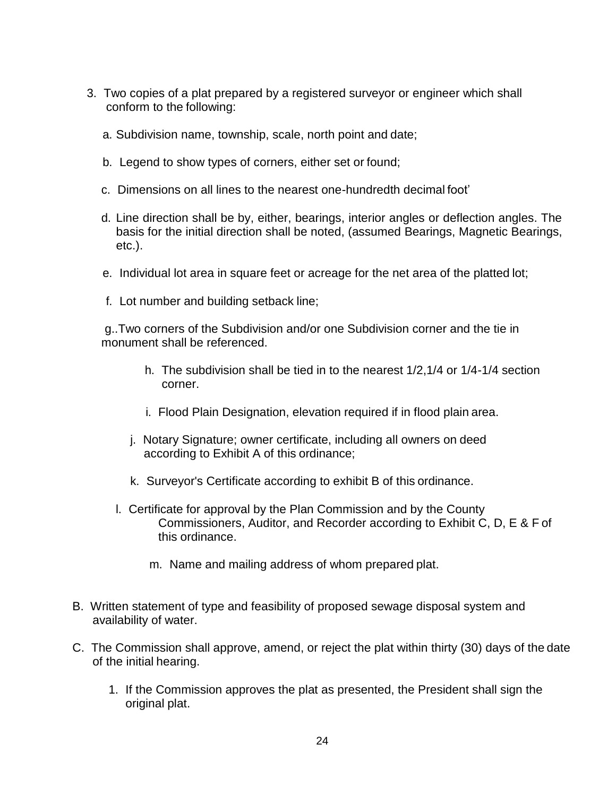- 3. Two copies of a plat prepared by a registered surveyor or engineer which shall conform to the following:
	- a. Subdivision name, township, scale, north point and date;
	- b. Legend to show types of corners, either set or found;
	- c. Dimensions on all lines to the nearest one-hundredth decimal foot'
	- d. Line direction shall be by, either, bearings, interior angles or deflection angles. The basis for the initial direction shall be noted, (assumed Bearings, Magnetic Bearings, etc.).
	- e. Individual lot area in square feet or acreage for the net area of the platted lot;
	- f. Lot number and building setback line;

g..Two corners of the Subdivision and/or one Subdivision corner and the tie in monument shall be referenced.

- h. The subdivision shall be tied in to the nearest 1/2,1/4 or 1/4-1/4 section corner.
- i. Flood Plain Designation, elevation required if in flood plain area.
- j. Notary Signature; owner certificate, including all owners on deed according to Exhibit A of this ordinance;
- k. Surveyor's Certificate according to exhibit B of this ordinance.
- l. Certificate for approval by the Plan Commission and by the County Commissioners, Auditor, and Recorder according to Exhibit C, D, E & F of this ordinance.
	- m. Name and mailing address of whom prepared plat.
- B. Written statement of type and feasibility of proposed sewage disposal system and availability of water.
- C. The Commission shall approve, amend, or reject the plat within thirty (30) days of the date of the initial hearing.
	- 1. If the Commission approves the plat as presented, the President shall sign the original plat.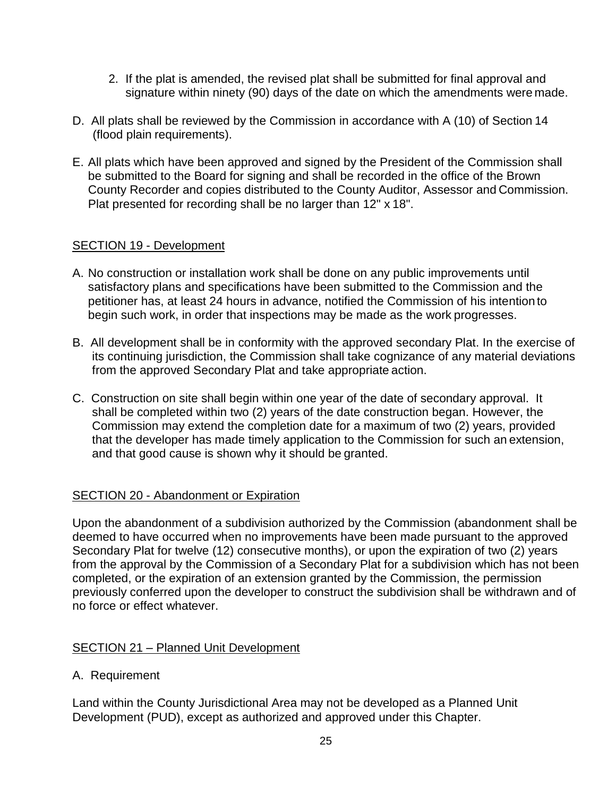- 2. If the plat is amended, the revised plat shall be submitted for final approval and signature within ninety (90) days of the date on which the amendments were made.
- D. All plats shall be reviewed by the Commission in accordance with A (10) of Section 14 (flood plain requirements).
- E. All plats which have been approved and signed by the President of the Commission shall be submitted to the Board for signing and shall be recorded in the office of the Brown County Recorder and copies distributed to the County Auditor, Assessor and Commission. Plat presented for recording shall be no larger than 12" x 18".

## SECTION 19 - Development

- A. No construction or installation work shall be done on any public improvements until satisfactory plans and specifications have been submitted to the Commission and the petitioner has, at least 24 hours in advance, notified the Commission of his intention to begin such work, in order that inspections may be made as the work progresses.
- B. All development shall be in conformity with the approved secondary Plat. In the exercise of its continuing jurisdiction, the Commission shall take cognizance of any material deviations from the approved Secondary Plat and take appropriate action.
- C. Construction on site shall begin within one year of the date of secondary approval. It shall be completed within two (2) years of the date construction began. However, the Commission may extend the completion date for a maximum of two (2) years, provided that the developer has made timely application to the Commission for such an extension, and that good cause is shown why it should be granted.

## SECTION 20 - Abandonment or Expiration

Upon the abandonment of a subdivision authorized by the Commission (abandonment shall be deemed to have occurred when no improvements have been made pursuant to the approved Secondary Plat for twelve (12) consecutive months), or upon the expiration of two (2) years from the approval by the Commission of a Secondary Plat for a subdivision which has not been completed, or the expiration of an extension granted by the Commission, the permission previously conferred upon the developer to construct the subdivision shall be withdrawn and of no force or effect whatever.

## SECTION 21 – Planned Unit Development

## A. Requirement

Land within the County Jurisdictional Area may not be developed as a Planned Unit Development (PUD), except as authorized and approved under this Chapter.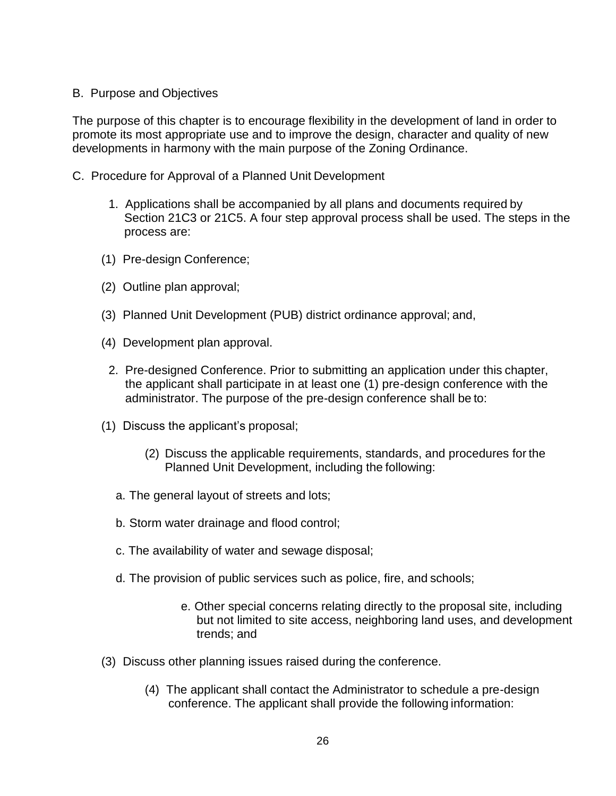#### B. Purpose and Objectives

The purpose of this chapter is to encourage flexibility in the development of land in order to promote its most appropriate use and to improve the design, character and quality of new developments in harmony with the main purpose of the Zoning Ordinance.

- C. Procedure for Approval of a Planned Unit Development
	- 1. Applications shall be accompanied by all plans and documents required by Section 21C3 or 21C5. A four step approval process shall be used. The steps in the process are:
	- (1) Pre-design Conference;
	- (2) Outline plan approval;
	- (3) Planned Unit Development (PUB) district ordinance approval; and,
	- (4) Development plan approval.
		- 2. Pre-designed Conference. Prior to submitting an application under this chapter, the applicant shall participate in at least one (1) pre-design conference with the administrator. The purpose of the pre-design conference shall be to:
	- (1) Discuss the applicant's proposal;
		- (2) Discuss the applicable requirements, standards, and procedures for the Planned Unit Development, including the following:
		- a. The general layout of streets and lots;
		- b. Storm water drainage and flood control;
		- c. The availability of water and sewage disposal;
		- d. The provision of public services such as police, fire, and schools;
			- e. Other special concerns relating directly to the proposal site, including but not limited to site access, neighboring land uses, and development trends; and
	- (3) Discuss other planning issues raised during the conference.
		- (4) The applicant shall contact the Administrator to schedule a pre-design conference. The applicant shall provide the following information: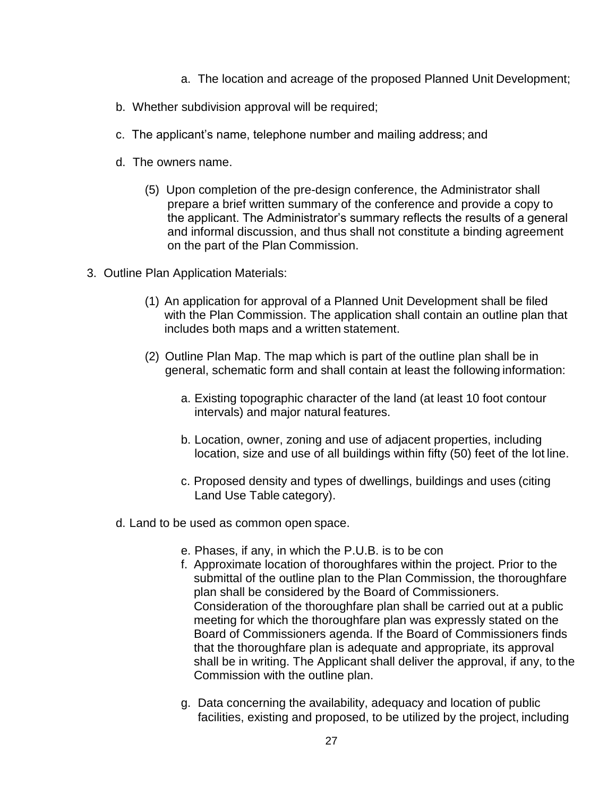- a. The location and acreage of the proposed Planned Unit Development;
- b. Whether subdivision approval will be required;
- c. The applicant's name, telephone number and mailing address; and
- d. The owners name.
	- (5) Upon completion of the pre-design conference, the Administrator shall prepare a brief written summary of the conference and provide a copy to the applicant. The Administrator's summary reflects the results of a general and informal discussion, and thus shall not constitute a binding agreement on the part of the Plan Commission.
- 3. Outline Plan Application Materials:
	- (1) An application for approval of a Planned Unit Development shall be filed with the Plan Commission. The application shall contain an outline plan that includes both maps and a written statement.
	- (2) Outline Plan Map. The map which is part of the outline plan shall be in general, schematic form and shall contain at least the following information:
		- a. Existing topographic character of the land (at least 10 foot contour intervals) and major natural features.
		- b. Location, owner, zoning and use of adjacent properties, including location, size and use of all buildings within fifty (50) feet of the lot line.
		- c. Proposed density and types of dwellings, buildings and uses (citing Land Use Table category).
	- d. Land to be used as common open space.
		- e. Phases, if any, in which the P.U.B. is to be con
		- f. Approximate location of thoroughfares within the project. Prior to the submittal of the outline plan to the Plan Commission, the thoroughfare plan shall be considered by the Board of Commissioners. Consideration of the thoroughfare plan shall be carried out at a public meeting for which the thoroughfare plan was expressly stated on the Board of Commissioners agenda. If the Board of Commissioners finds that the thoroughfare plan is adequate and appropriate, its approval shall be in writing. The Applicant shall deliver the approval, if any, to the Commission with the outline plan.
		- g. Data concerning the availability, adequacy and location of public facilities, existing and proposed, to be utilized by the project, including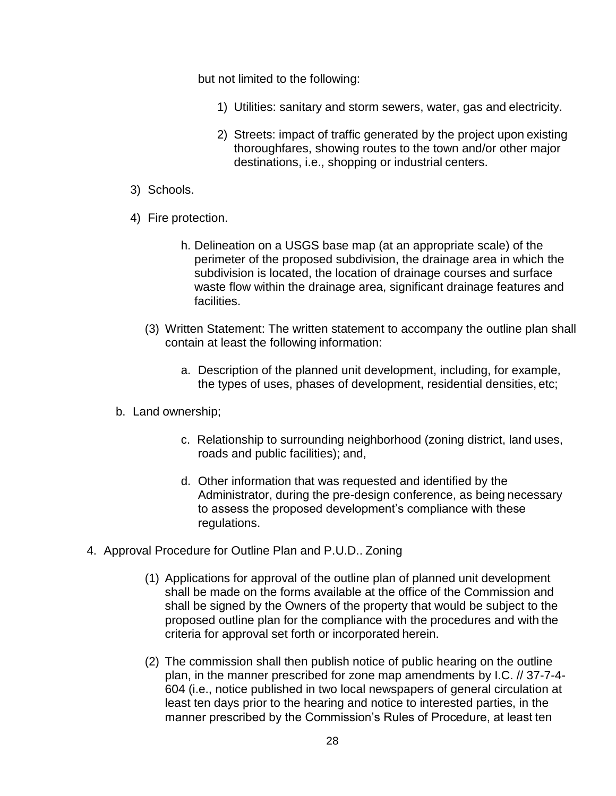but not limited to the following:

- 1) Utilities: sanitary and storm sewers, water, gas and electricity.
- 2) Streets: impact of traffic generated by the project upon existing thoroughfares, showing routes to the town and/or other major destinations, i.e., shopping or industrial centers.
- 3) Schools.
- 4) Fire protection.
	- h. Delineation on a USGS base map (at an appropriate scale) of the perimeter of the proposed subdivision, the drainage area in which the subdivision is located, the location of drainage courses and surface waste flow within the drainage area, significant drainage features and facilities.
	- (3) Written Statement: The written statement to accompany the outline plan shall contain at least the following information:
		- a. Description of the planned unit development, including, for example, the types of uses, phases of development, residential densities, etc;
- b. Land ownership;
	- c. Relationship to surrounding neighborhood (zoning district, land uses, roads and public facilities); and,
	- d. Other information that was requested and identified by the Administrator, during the pre-design conference, as being necessary to assess the proposed development's compliance with these regulations.
- 4. Approval Procedure for Outline Plan and P.U.D.. Zoning
	- (1) Applications for approval of the outline plan of planned unit development shall be made on the forms available at the office of the Commission and shall be signed by the Owners of the property that would be subject to the proposed outline plan for the compliance with the procedures and with the criteria for approval set forth or incorporated herein.
	- (2) The commission shall then publish notice of public hearing on the outline plan, in the manner prescribed for zone map amendments by I.C. // 37-7-4- 604 (i.e., notice published in two local newspapers of general circulation at least ten days prior to the hearing and notice to interested parties, in the manner prescribed by the Commission's Rules of Procedure, at least ten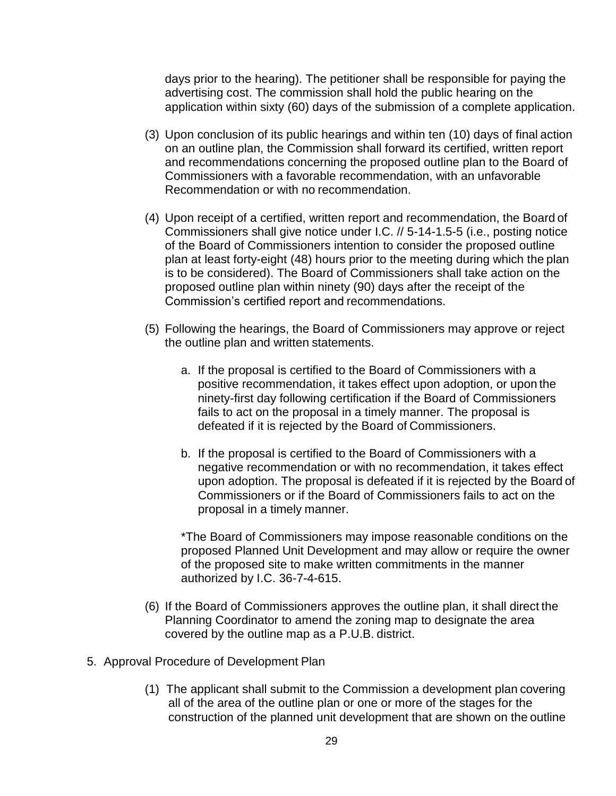days prior to the hearing). The petitioner shall be responsible for paying the advertising cost. The commission shall hold the public hearing on the application within sixty (60) days of the submission of a complete application.

- (3) Upon conclusion of its public hearings and within ten (10) days of final action on an outline plan, the Commission shall forward its certified, written report and recommendations concerning the proposed outline plan to the Board of Commissioners with a favorable recommendation, with an unfavorable Recommendation or with no recommendation.
- (4) Upon receipt of a certified, written report and recommendation, the Board of Commissioners shall give notice under I.C. // 5-14-1.5-5 (i.e., posting notice of the Board of Commissioners intention to consider the proposed outline plan at least forty-eight (48) hours prior to the meeting during which the plan is to be considered). The Board of Commissioners shall take action on the proposed outline plan within ninety (90) days after the receipt of the Commission's certified report and recommendations.
- (5) Following the hearings, the Board of Commissioners may approve or reject the outline plan and written statements.
	- a. If the proposal is certified to the Board of Commissioners with a positive recommendation, it takes effect upon adoption, or upon the ninety-first day following certification if the Board of Commissioners fails to act on the proposal in a timely manner. The proposal is defeated if it is rejected by the Board of Commissioners.
	- b. If the proposal is certified to the Board of Commissioners with a negative recommendation or with no recommendation, it takes effect upon adoption. The proposal is defeated if it is rejected by the Board of Commissioners or if the Board of Commissioners fails to act on the proposal in a timely manner.

\*The Board of Commissioners may impose reasonable conditions on the proposed Planned Unit Development and may allow or require the owner of the proposed site to make written commitments in the manner authorized by I.C. 36-7-4-615.

- (6) If the Board of Commissioners approves the outline plan, it shall direct the Planning Coordinator to amend the zoning map to designate the area covered by the outline map as a P.U.B. district.
- 5. Approval Procedure of Development Plan
	- (1) The applicant shall submit to the Commission a development plan covering all of the area of the outline plan or one or more of the stages for the construction of the planned unit development that are shown on the outline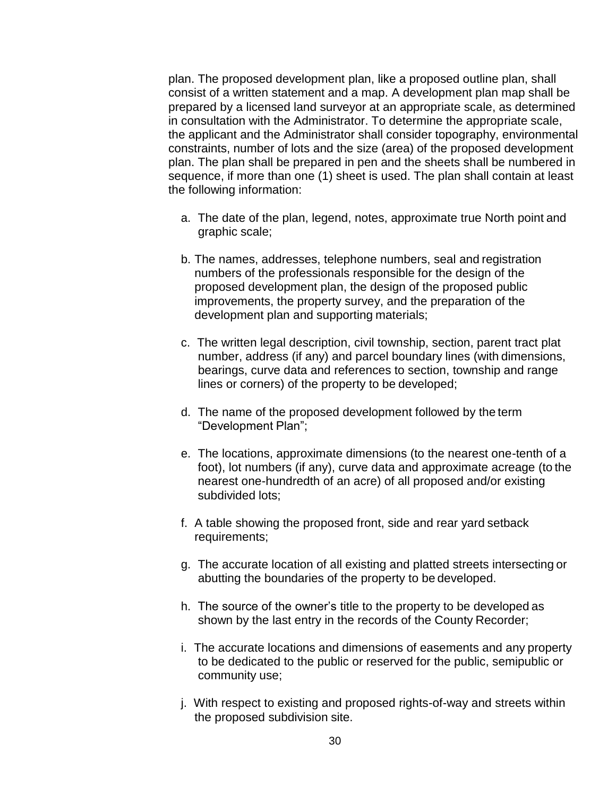plan. The proposed development plan, like a proposed outline plan, shall consist of a written statement and a map. A development plan map shall be prepared by a licensed land surveyor at an appropriate scale, as determined in consultation with the Administrator. To determine the appropriate scale, the applicant and the Administrator shall consider topography, environmental constraints, number of lots and the size (area) of the proposed development plan. The plan shall be prepared in pen and the sheets shall be numbered in sequence, if more than one (1) sheet is used. The plan shall contain at least the following information:

- a. The date of the plan, legend, notes, approximate true North point and graphic scale;
- b. The names, addresses, telephone numbers, seal and registration numbers of the professionals responsible for the design of the proposed development plan, the design of the proposed public improvements, the property survey, and the preparation of the development plan and supporting materials;
- c. The written legal description, civil township, section, parent tract plat number, address (if any) and parcel boundary lines (with dimensions, bearings, curve data and references to section, township and range lines or corners) of the property to be developed;
- d. The name of the proposed development followed by the term "Development Plan";
- e. The locations, approximate dimensions (to the nearest one-tenth of a foot), lot numbers (if any), curve data and approximate acreage (to the nearest one-hundredth of an acre) of all proposed and/or existing subdivided lots;
- f. A table showing the proposed front, side and rear yard setback requirements;
- g. The accurate location of all existing and platted streets intersecting or abutting the boundaries of the property to be developed.
- h. The source of the owner's title to the property to be developed as shown by the last entry in the records of the County Recorder;
- i. The accurate locations and dimensions of easements and any property to be dedicated to the public or reserved for the public, semipublic or community use;
- j. With respect to existing and proposed rights-of-way and streets within the proposed subdivision site.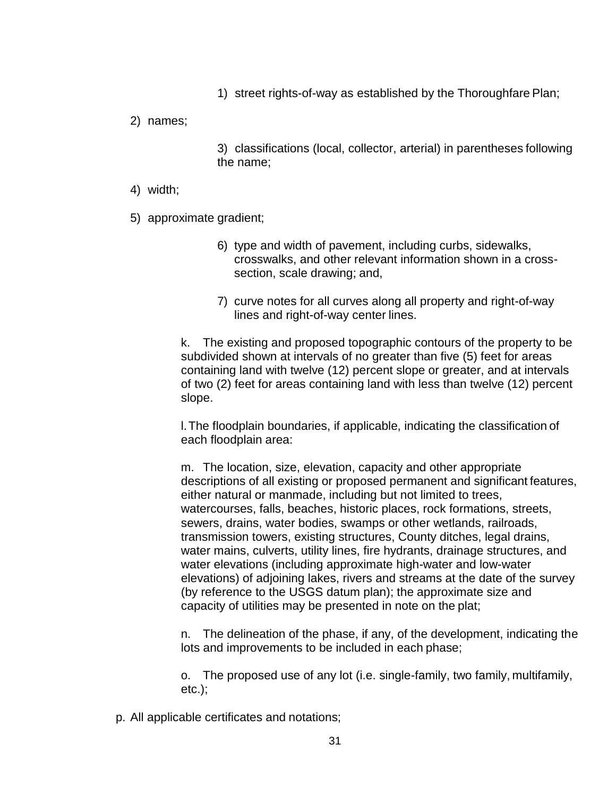1) street rights-of-way as established by the Thoroughfare Plan;

2) names;

3) classifications (local, collector, arterial) in parentheses following the name;

- 4) width;
- 5) approximate gradient;
	- 6) type and width of pavement, including curbs, sidewalks, crosswalks, and other relevant information shown in a crosssection, scale drawing; and,
	- 7) curve notes for all curves along all property and right-of-way lines and right-of-way center lines.

k. The existing and proposed topographic contours of the property to be subdivided shown at intervals of no greater than five (5) feet for areas containing land with twelve (12) percent slope or greater, and at intervals of two (2) feet for areas containing land with less than twelve (12) percent slope.

l.The floodplain boundaries, if applicable, indicating the classification of each floodplain area:

m. The location, size, elevation, capacity and other appropriate descriptions of all existing or proposed permanent and significant features, either natural or manmade, including but not limited to trees, watercourses, falls, beaches, historic places, rock formations, streets, sewers, drains, water bodies, swamps or other wetlands, railroads, transmission towers, existing structures, County ditches, legal drains, water mains, culverts, utility lines, fire hydrants, drainage structures, and water elevations (including approximate high-water and low-water elevations) of adjoining lakes, rivers and streams at the date of the survey (by reference to the USGS datum plan); the approximate size and capacity of utilities may be presented in note on the plat;

n. The delineation of the phase, if any, of the development, indicating the lots and improvements to be included in each phase;

o. The proposed use of any lot (i.e. single-family, two family, multifamily,  $etc.$ );

p. All applicable certificates and notations;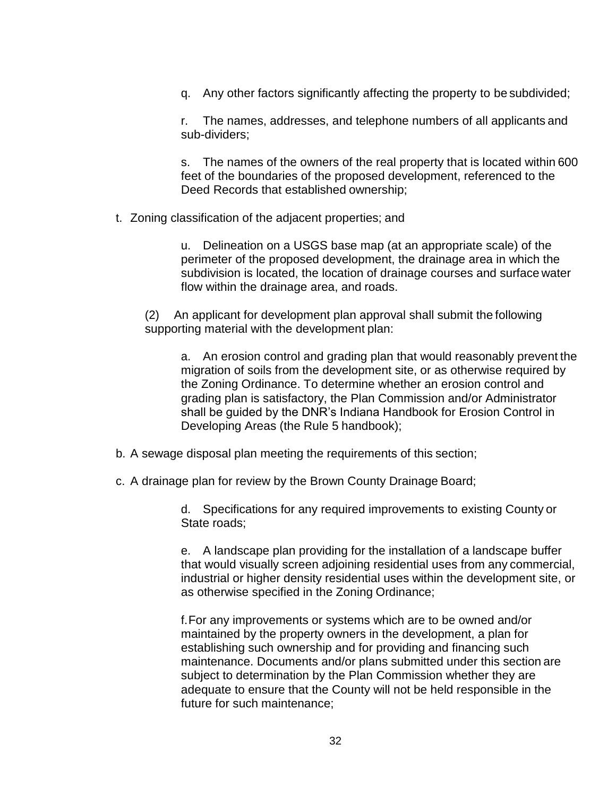q. Any other factors significantly affecting the property to be subdivided;

r. The names, addresses, and telephone numbers of all applicants and sub-dividers;

s. The names of the owners of the real property that is located within 600 feet of the boundaries of the proposed development, referenced to the Deed Records that established ownership;

t. Zoning classification of the adjacent properties; and

u. Delineation on a USGS base map (at an appropriate scale) of the perimeter of the proposed development, the drainage area in which the subdivision is located, the location of drainage courses and surface water flow within the drainage area, and roads.

(2) An applicant for development plan approval shall submit the following supporting material with the development plan:

a. An erosion control and grading plan that would reasonably prevent the migration of soils from the development site, or as otherwise required by the Zoning Ordinance. To determine whether an erosion control and grading plan is satisfactory, the Plan Commission and/or Administrator shall be guided by the DNR's Indiana Handbook for Erosion Control in Developing Areas (the Rule 5 handbook);

- b. A sewage disposal plan meeting the requirements of this section;
- c. A drainage plan for review by the Brown County Drainage Board;

d. Specifications for any required improvements to existing County or State roads;

e. A landscape plan providing for the installation of a landscape buffer that would visually screen adjoining residential uses from any commercial, industrial or higher density residential uses within the development site, or as otherwise specified in the Zoning Ordinance;

f.For any improvements or systems which are to be owned and/or maintained by the property owners in the development, a plan for establishing such ownership and for providing and financing such maintenance. Documents and/or plans submitted under this section are subject to determination by the Plan Commission whether they are adequate to ensure that the County will not be held responsible in the future for such maintenance;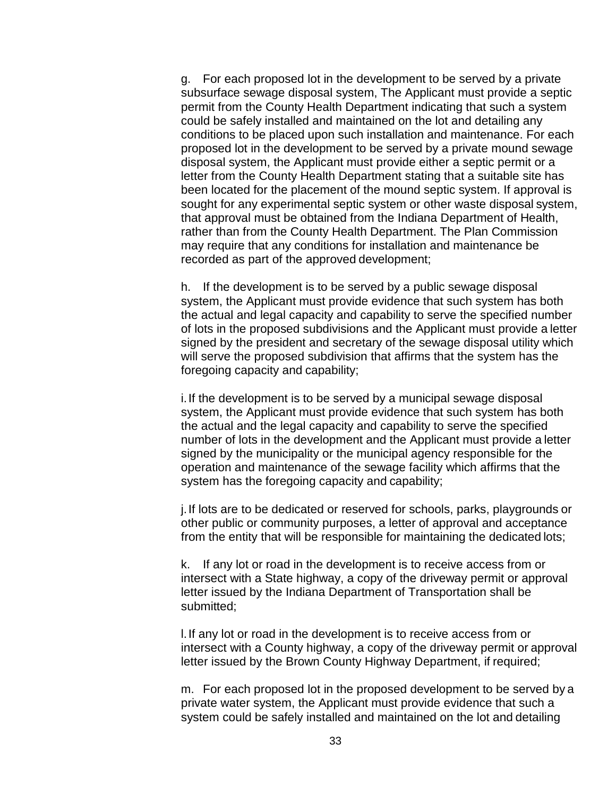g. For each proposed lot in the development to be served by a private subsurface sewage disposal system, The Applicant must provide a septic permit from the County Health Department indicating that such a system could be safely installed and maintained on the lot and detailing any conditions to be placed upon such installation and maintenance. For each proposed lot in the development to be served by a private mound sewage disposal system, the Applicant must provide either a septic permit or a letter from the County Health Department stating that a suitable site has been located for the placement of the mound septic system. If approval is sought for any experimental septic system or other waste disposal system, that approval must be obtained from the Indiana Department of Health, rather than from the County Health Department. The Plan Commission may require that any conditions for installation and maintenance be recorded as part of the approved development;

h. If the development is to be served by a public sewage disposal system, the Applicant must provide evidence that such system has both the actual and legal capacity and capability to serve the specified number of lots in the proposed subdivisions and the Applicant must provide a letter signed by the president and secretary of the sewage disposal utility which will serve the proposed subdivision that affirms that the system has the foregoing capacity and capability;

i.If the development is to be served by a municipal sewage disposal system, the Applicant must provide evidence that such system has both the actual and the legal capacity and capability to serve the specified number of lots in the development and the Applicant must provide a letter signed by the municipality or the municipal agency responsible for the operation and maintenance of the sewage facility which affirms that the system has the foregoing capacity and capability;

j.If lots are to be dedicated or reserved for schools, parks, playgrounds or other public or community purposes, a letter of approval and acceptance from the entity that will be responsible for maintaining the dedicated lots;

k. If any lot or road in the development is to receive access from or intersect with a State highway, a copy of the driveway permit or approval letter issued by the Indiana Department of Transportation shall be submitted;

l.If any lot or road in the development is to receive access from or intersect with a County highway, a copy of the driveway permit or approval letter issued by the Brown County Highway Department, if required;

m. For each proposed lot in the proposed development to be served by a private water system, the Applicant must provide evidence that such a system could be safely installed and maintained on the lot and detailing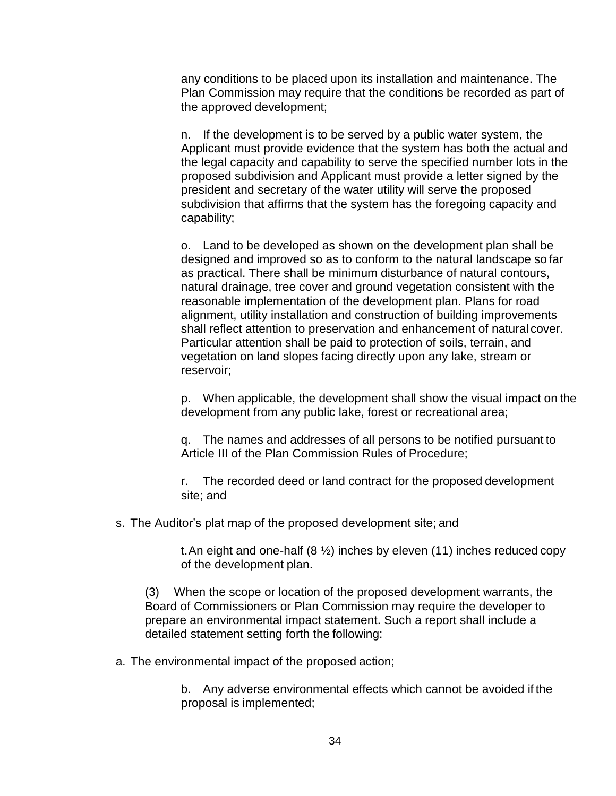any conditions to be placed upon its installation and maintenance. The Plan Commission may require that the conditions be recorded as part of the approved development;

n. If the development is to be served by a public water system, the Applicant must provide evidence that the system has both the actual and the legal capacity and capability to serve the specified number lots in the proposed subdivision and Applicant must provide a letter signed by the president and secretary of the water utility will serve the proposed subdivision that affirms that the system has the foregoing capacity and capability;

o. Land to be developed as shown on the development plan shall be designed and improved so as to conform to the natural landscape so far as practical. There shall be minimum disturbance of natural contours, natural drainage, tree cover and ground vegetation consistent with the reasonable implementation of the development plan. Plans for road alignment, utility installation and construction of building improvements shall reflect attention to preservation and enhancement of natural cover. Particular attention shall be paid to protection of soils, terrain, and vegetation on land slopes facing directly upon any lake, stream or reservoir;

p. When applicable, the development shall show the visual impact on the development from any public lake, forest or recreational area;

q. The names and addresses of all persons to be notified pursuant to Article III of the Plan Commission Rules of Procedure;

r. The recorded deed or land contract for the proposed development site; and

s. The Auditor's plat map of the proposed development site; and

t. An eight and one-half  $(8 \frac{1}{2})$  inches by eleven (11) inches reduced copy of the development plan.

(3) When the scope or location of the proposed development warrants, the Board of Commissioners or Plan Commission may require the developer to prepare an environmental impact statement. Such a report shall include a detailed statement setting forth the following:

a. The environmental impact of the proposed action;

b. Any adverse environmental effects which cannot be avoided if the proposal is implemented;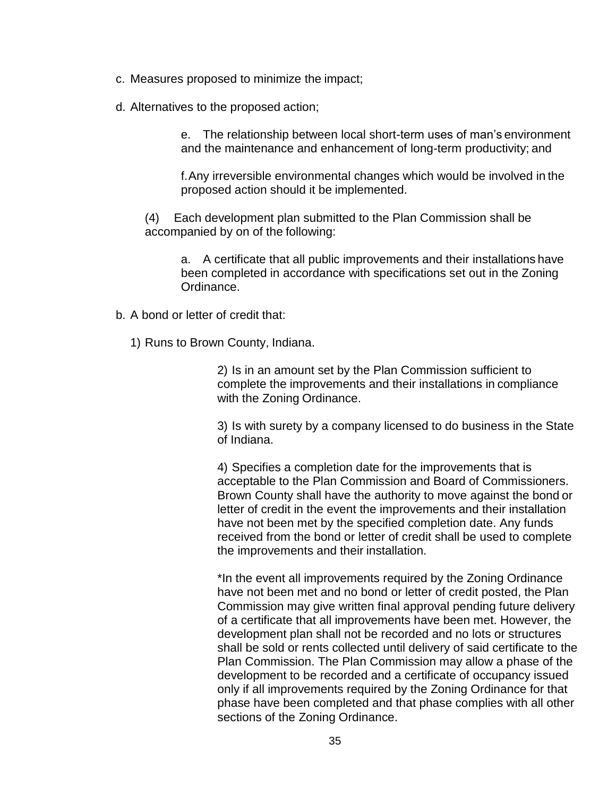- c. Measures proposed to minimize the impact;
- d. Alternatives to the proposed action;

e. The relationship between local short-term uses of man's environment and the maintenance and enhancement of long-term productivity; and

f.Any irreversible environmental changes which would be involved in the proposed action should it be implemented.

(4) Each development plan submitted to the Plan Commission shall be accompanied by on of the following:

a. A certificate that all public improvements and their installations have been completed in accordance with specifications set out in the Zoning Ordinance.

- b. A bond or letter of credit that:
	- 1) Runs to Brown County, Indiana.

2) Is in an amount set by the Plan Commission sufficient to complete the improvements and their installations in compliance with the Zoning Ordinance.

3) Is with surety by a company licensed to do business in the State of Indiana.

4) Specifies a completion date for the improvements that is acceptable to the Plan Commission and Board of Commissioners. Brown County shall have the authority to move against the bond or letter of credit in the event the improvements and their installation have not been met by the specified completion date. Any funds received from the bond or letter of credit shall be used to complete the improvements and their installation.

\*In the event all improvements required by the Zoning Ordinance have not been met and no bond or letter of credit posted, the Plan Commission may give written final approval pending future delivery of a certificate that all improvements have been met. However, the development plan shall not be recorded and no lots or structures shall be sold or rents collected until delivery of said certificate to the Plan Commission. The Plan Commission may allow a phase of the development to be recorded and a certificate of occupancy issued only if all improvements required by the Zoning Ordinance for that phase have been completed and that phase complies with all other sections of the Zoning Ordinance.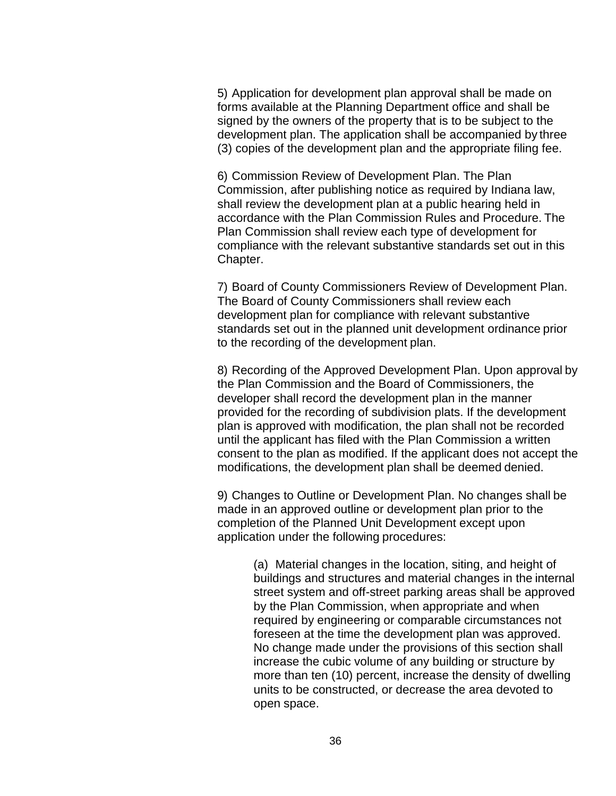5) Application for development plan approval shall be made on forms available at the Planning Department office and shall be signed by the owners of the property that is to be subject to the development plan. The application shall be accompanied by three (3) copies of the development plan and the appropriate filing fee.

6) Commission Review of Development Plan. The Plan Commission, after publishing notice as required by Indiana law, shall review the development plan at a public hearing held in accordance with the Plan Commission Rules and Procedure. The Plan Commission shall review each type of development for compliance with the relevant substantive standards set out in this Chapter.

7) Board of County Commissioners Review of Development Plan. The Board of County Commissioners shall review each development plan for compliance with relevant substantive standards set out in the planned unit development ordinance prior to the recording of the development plan.

8) Recording of the Approved Development Plan. Upon approval by the Plan Commission and the Board of Commissioners, the developer shall record the development plan in the manner provided for the recording of subdivision plats. If the development plan is approved with modification, the plan shall not be recorded until the applicant has filed with the Plan Commission a written consent to the plan as modified. If the applicant does not accept the modifications, the development plan shall be deemed denied.

9) Changes to Outline or Development Plan. No changes shall be made in an approved outline or development plan prior to the completion of the Planned Unit Development except upon application under the following procedures:

> (a) Material changes in the location, siting, and height of buildings and structures and material changes in the internal street system and off-street parking areas shall be approved by the Plan Commission, when appropriate and when required by engineering or comparable circumstances not foreseen at the time the development plan was approved. No change made under the provisions of this section shall increase the cubic volume of any building or structure by more than ten (10) percent, increase the density of dwelling units to be constructed, or decrease the area devoted to open space.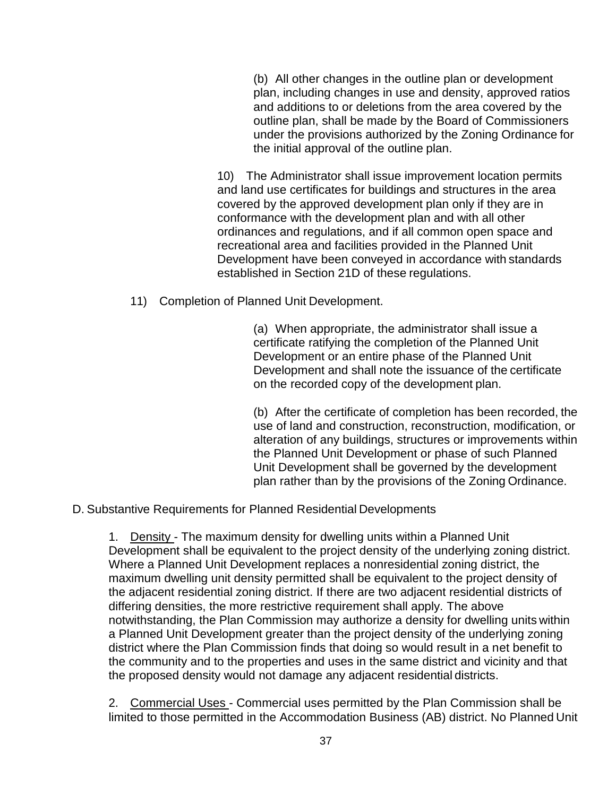(b) All other changes in the outline plan or development plan, including changes in use and density, approved ratios and additions to or deletions from the area covered by the outline plan, shall be made by the Board of Commissioners under the provisions authorized by the Zoning Ordinance for the initial approval of the outline plan.

10) The Administrator shall issue improvement location permits and land use certificates for buildings and structures in the area covered by the approved development plan only if they are in conformance with the development plan and with all other ordinances and regulations, and if all common open space and recreational area and facilities provided in the Planned Unit Development have been conveyed in accordance with standards established in Section 21D of these regulations.

11) Completion of Planned Unit Development.

(a) When appropriate, the administrator shall issue a certificate ratifying the completion of the Planned Unit Development or an entire phase of the Planned Unit Development and shall note the issuance of the certificate on the recorded copy of the development plan.

(b) After the certificate of completion has been recorded, the use of land and construction, reconstruction, modification, or alteration of any buildings, structures or improvements within the Planned Unit Development or phase of such Planned Unit Development shall be governed by the development plan rather than by the provisions of the Zoning Ordinance.

D. Substantive Requirements for Planned Residential Developments

1. Density - The maximum density for dwelling units within a Planned Unit Development shall be equivalent to the project density of the underlying zoning district. Where a Planned Unit Development replaces a nonresidential zoning district, the maximum dwelling unit density permitted shall be equivalent to the project density of the adjacent residential zoning district. If there are two adjacent residential districts of differing densities, the more restrictive requirement shall apply. The above notwithstanding, the Plan Commission may authorize a density for dwelling units within a Planned Unit Development greater than the project density of the underlying zoning district where the Plan Commission finds that doing so would result in a net benefit to the community and to the properties and uses in the same district and vicinity and that the proposed density would not damage any adjacent residential districts.

2. Commercial Uses - Commercial uses permitted by the Plan Commission shall be limited to those permitted in the Accommodation Business (AB) district. No Planned Unit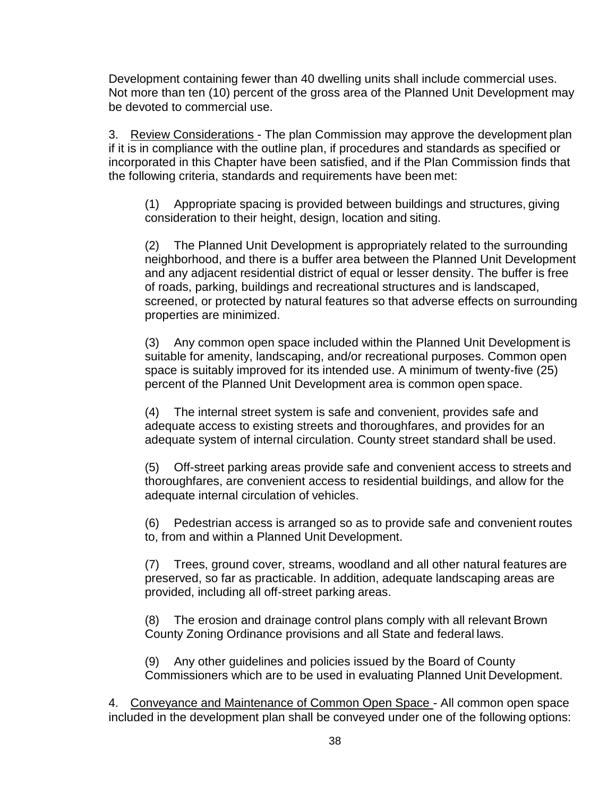Development containing fewer than 40 dwelling units shall include commercial uses. Not more than ten (10) percent of the gross area of the Planned Unit Development may be devoted to commercial use.

3. Review Considerations - The plan Commission may approve the development plan if it is in compliance with the outline plan, if procedures and standards as specified or incorporated in this Chapter have been satisfied, and if the Plan Commission finds that the following criteria, standards and requirements have been met:

(1) Appropriate spacing is provided between buildings and structures, giving consideration to their height, design, location and siting.

(2) The Planned Unit Development is appropriately related to the surrounding neighborhood, and there is a buffer area between the Planned Unit Development and any adjacent residential district of equal or lesser density. The buffer is free of roads, parking, buildings and recreational structures and is landscaped, screened, or protected by natural features so that adverse effects on surrounding properties are minimized.

(3) Any common open space included within the Planned Unit Development is suitable for amenity, landscaping, and/or recreational purposes. Common open space is suitably improved for its intended use. A minimum of twenty-five (25) percent of the Planned Unit Development area is common open space.

(4) The internal street system is safe and convenient, provides safe and adequate access to existing streets and thoroughfares, and provides for an adequate system of internal circulation. County street standard shall be used.

(5) Off-street parking areas provide safe and convenient access to streets and thoroughfares, are convenient access to residential buildings, and allow for the adequate internal circulation of vehicles.

(6) Pedestrian access is arranged so as to provide safe and convenient routes to, from and within a Planned Unit Development.

(7) Trees, ground cover, streams, woodland and all other natural features are preserved, so far as practicable. In addition, adequate landscaping areas are provided, including all off-street parking areas.

(8) The erosion and drainage control plans comply with all relevant Brown County Zoning Ordinance provisions and all State and federal laws.

(9) Any other guidelines and policies issued by the Board of County Commissioners which are to be used in evaluating Planned Unit Development.

4. Conveyance and Maintenance of Common Open Space - All common open space included in the development plan shall be conveyed under one of the following options: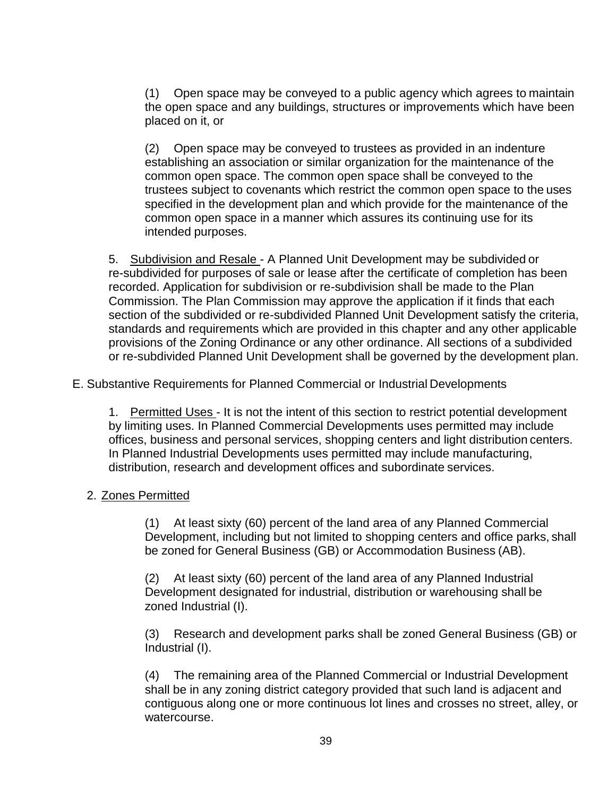(1) Open space may be conveyed to a public agency which agrees to maintain the open space and any buildings, structures or improvements which have been placed on it, or

(2) Open space may be conveyed to trustees as provided in an indenture establishing an association or similar organization for the maintenance of the common open space. The common open space shall be conveyed to the trustees subject to covenants which restrict the common open space to the uses specified in the development plan and which provide for the maintenance of the common open space in a manner which assures its continuing use for its intended purposes.

5. Subdivision and Resale - A Planned Unit Development may be subdivided or re-subdivided for purposes of sale or lease after the certificate of completion has been recorded. Application for subdivision or re-subdivision shall be made to the Plan Commission. The Plan Commission may approve the application if it finds that each section of the subdivided or re-subdivided Planned Unit Development satisfy the criteria, standards and requirements which are provided in this chapter and any other applicable provisions of the Zoning Ordinance or any other ordinance. All sections of a subdivided or re-subdivided Planned Unit Development shall be governed by the development plan.

E. Substantive Requirements for Planned Commercial or Industrial Developments

1. Permitted Uses - It is not the intent of this section to restrict potential development by limiting uses. In Planned Commercial Developments uses permitted may include offices, business and personal services, shopping centers and light distribution centers. In Planned Industrial Developments uses permitted may include manufacturing, distribution, research and development offices and subordinate services.

#### 2. Zones Permitted

(1) At least sixty (60) percent of the land area of any Planned Commercial Development, including but not limited to shopping centers and office parks, shall be zoned for General Business (GB) or Accommodation Business (AB).

(2) At least sixty (60) percent of the land area of any Planned Industrial Development designated for industrial, distribution or warehousing shall be zoned Industrial (I).

(3) Research and development parks shall be zoned General Business (GB) or Industrial (I).

(4) The remaining area of the Planned Commercial or Industrial Development shall be in any zoning district category provided that such land is adjacent and contiguous along one or more continuous lot lines and crosses no street, alley, or watercourse.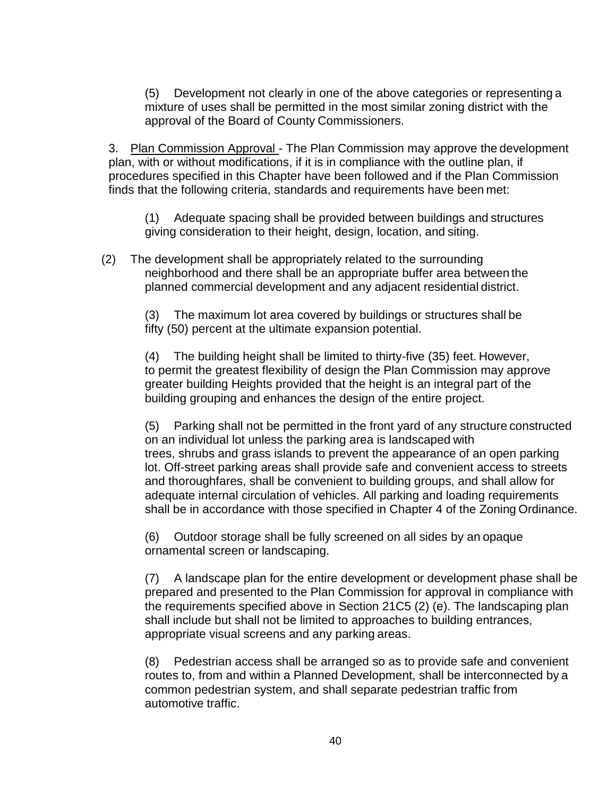(5) Development not clearly in one of the above categories or representing a mixture of uses shall be permitted in the most similar zoning district with the approval of the Board of County Commissioners.

3. Plan Commission Approval - The Plan Commission may approve the development plan, with or without modifications, if it is in compliance with the outline plan, if procedures specified in this Chapter have been followed and if the Plan Commission finds that the following criteria, standards and requirements have been met:

(1) Adequate spacing shall be provided between buildings and structures giving consideration to their height, design, location, and siting.

(2) The development shall be appropriately related to the surrounding neighborhood and there shall be an appropriate buffer area between the planned commercial development and any adjacent residential district.

(3) The maximum lot area covered by buildings or structures shall be fifty (50) percent at the ultimate expansion potential.

(4) The building height shall be limited to thirty-five (35) feet. However, to permit the greatest flexibility of design the Plan Commission may approve greater building Heights provided that the height is an integral part of the building grouping and enhances the design of the entire project.

(5) Parking shall not be permitted in the front yard of any structure constructed on an individual lot unless the parking area is landscaped with trees, shrubs and grass islands to prevent the appearance of an open parking lot. Off-street parking areas shall provide safe and convenient access to streets and thoroughfares, shall be convenient to building groups, and shall allow for adequate internal circulation of vehicles. All parking and loading requirements shall be in accordance with those specified in Chapter 4 of the Zoning Ordinance.

(6) Outdoor storage shall be fully screened on all sides by an opaque ornamental screen or landscaping.

(7) A landscape plan for the entire development or development phase shall be prepared and presented to the Plan Commission for approval in compliance with the requirements specified above in Section 21C5 (2) (e). The landscaping plan shall include but shall not be limited to approaches to building entrances, appropriate visual screens and any parking areas.

(8) Pedestrian access shall be arranged so as to provide safe and convenient routes to, from and within a Planned Development, shall be interconnected by a common pedestrian system, and shall separate pedestrian traffic from automotive traffic.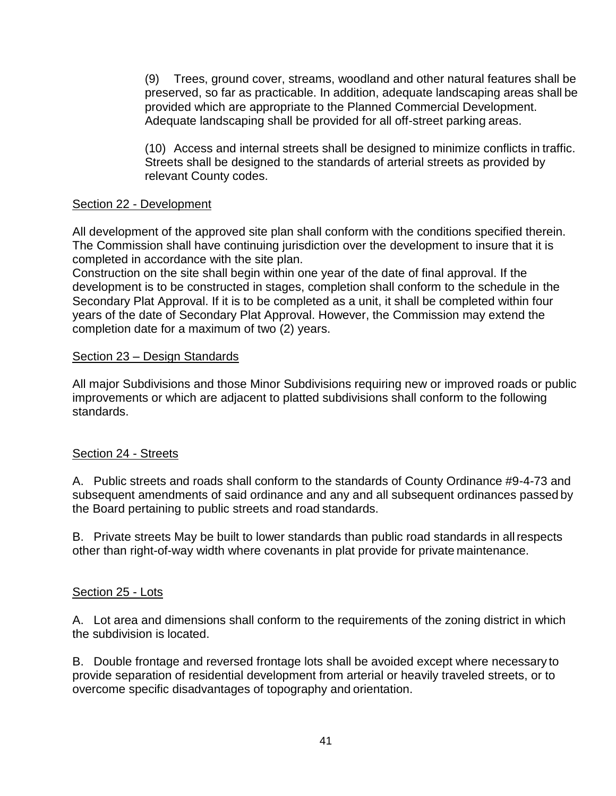(9) Trees, ground cover, streams, woodland and other natural features shall be preserved, so far as practicable. In addition, adequate landscaping areas shall be provided which are appropriate to the Planned Commercial Development. Adequate landscaping shall be provided for all off-street parking areas.

(10) Access and internal streets shall be designed to minimize conflicts in traffic. Streets shall be designed to the standards of arterial streets as provided by relevant County codes.

### Section 22 - Development

All development of the approved site plan shall conform with the conditions specified therein. The Commission shall have continuing jurisdiction over the development to insure that it is completed in accordance with the site plan.

Construction on the site shall begin within one year of the date of final approval. If the development is to be constructed in stages, completion shall conform to the schedule in the Secondary Plat Approval. If it is to be completed as a unit, it shall be completed within four years of the date of Secondary Plat Approval. However, the Commission may extend the completion date for a maximum of two (2) years.

### Section 23 – Design Standards

All major Subdivisions and those Minor Subdivisions requiring new or improved roads or public improvements or which are adjacent to platted subdivisions shall conform to the following standards.

#### Section 24 - Streets

A. Public streets and roads shall conform to the standards of County Ordinance #9-4-73 and subsequent amendments of said ordinance and any and all subsequent ordinances passed by the Board pertaining to public streets and road standards.

B. Private streets May be built to lower standards than public road standards in allrespects other than right-of-way width where covenants in plat provide for private maintenance.

#### Section 25 - Lots

A. Lot area and dimensions shall conform to the requirements of the zoning district in which the subdivision is located.

B. Double frontage and reversed frontage lots shall be avoided except where necessary to provide separation of residential development from arterial or heavily traveled streets, or to overcome specific disadvantages of topography and orientation.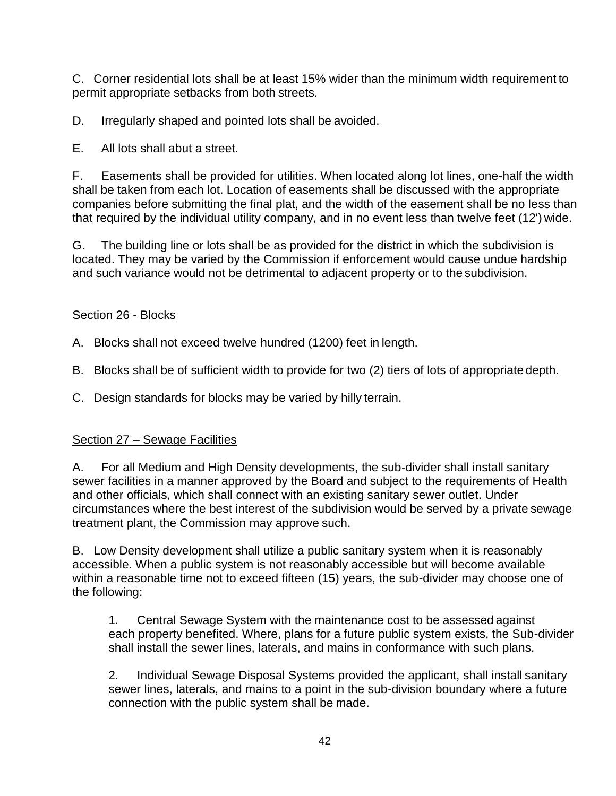C. Corner residential lots shall be at least 15% wider than the minimum width requirement to permit appropriate setbacks from both streets.

D. Irregularly shaped and pointed lots shall be avoided.

E. All lots shall abut a street.

F. Easements shall be provided for utilities. When located along lot lines, one-half the width shall be taken from each lot. Location of easements shall be discussed with the appropriate companies before submitting the final plat, and the width of the easement shall be no less than that required by the individual utility company, and in no event less than twelve feet (12') wide.

G. The building line or lots shall be as provided for the district in which the subdivision is located. They may be varied by the Commission if enforcement would cause undue hardship and such variance would not be detrimental to adjacent property or to the subdivision.

## Section 26 - Blocks

A. Blocks shall not exceed twelve hundred (1200) feet in length.

B. Blocks shall be of sufficient width to provide for two (2) tiers of lots of appropriate depth.

C. Design standards for blocks may be varied by hilly terrain.

#### Section 27 – Sewage Facilities

A. For all Medium and High Density developments, the sub-divider shall install sanitary sewer facilities in a manner approved by the Board and subject to the requirements of Health and other officials, which shall connect with an existing sanitary sewer outlet. Under circumstances where the best interest of the subdivision would be served by a private sewage treatment plant, the Commission may approve such.

B. Low Density development shall utilize a public sanitary system when it is reasonably accessible. When a public system is not reasonably accessible but will become available within a reasonable time not to exceed fifteen (15) years, the sub-divider may choose one of the following:

1. Central Sewage System with the maintenance cost to be assessed against each property benefited. Where, plans for a future public system exists, the Sub-divider shall install the sewer lines, laterals, and mains in conformance with such plans.

2. Individual Sewage Disposal Systems provided the applicant, shall install sanitary sewer lines, laterals, and mains to a point in the sub-division boundary where a future connection with the public system shall be made.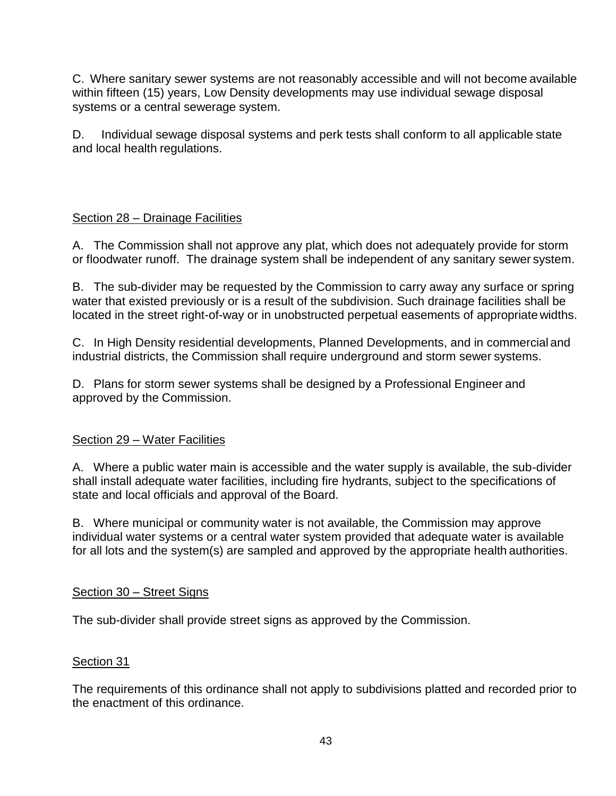C. Where sanitary sewer systems are not reasonably accessible and will not become available within fifteen (15) years, Low Density developments may use individual sewage disposal systems or a central sewerage system.

D. Individual sewage disposal systems and perk tests shall conform to all applicable state and local health regulations.

## Section 28 – Drainage Facilities

A. The Commission shall not approve any plat, which does not adequately provide for storm or floodwater runoff. The drainage system shall be independent of any sanitary sewer system.

B. The sub-divider may be requested by the Commission to carry away any surface or spring water that existed previously or is a result of the subdivision. Such drainage facilities shall be located in the street right-of-way or in unobstructed perpetual easements of appropriate widths.

C. In High Density residential developments, Planned Developments, and in commercial and industrial districts, the Commission shall require underground and storm sewer systems.

D. Plans for storm sewer systems shall be designed by a Professional Engineer and approved by the Commission.

#### Section 29 – Water Facilities

A. Where a public water main is accessible and the water supply is available, the sub-divider shall install adequate water facilities, including fire hydrants, subject to the specifications of state and local officials and approval of the Board.

B. Where municipal or community water is not available, the Commission may approve individual water systems or a central water system provided that adequate water is available for all lots and the system(s) are sampled and approved by the appropriate health authorities.

#### Section 30 – Street Signs

The sub-divider shall provide street signs as approved by the Commission.

#### Section 31

The requirements of this ordinance shall not apply to subdivisions platted and recorded prior to the enactment of this ordinance.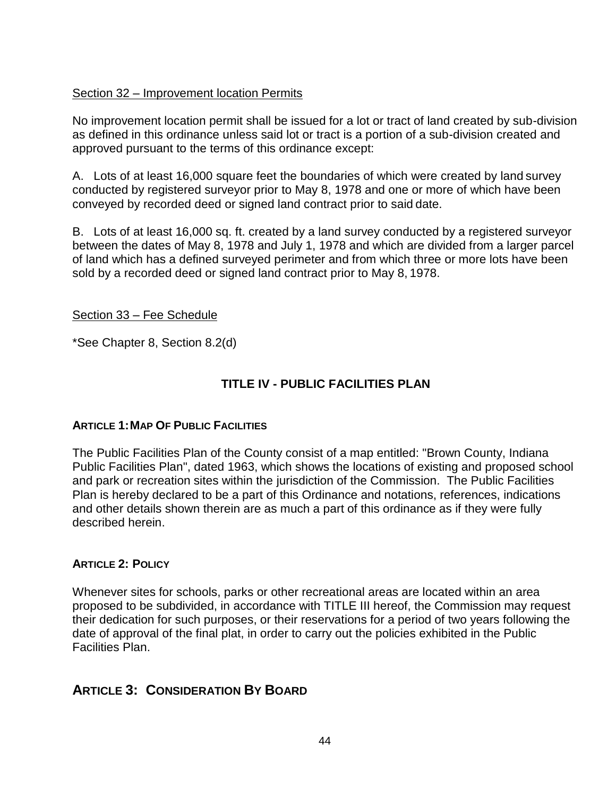#### Section 32 – Improvement location Permits

No improvement location permit shall be issued for a lot or tract of land created by sub-division as defined in this ordinance unless said lot or tract is a portion of a sub-division created and approved pursuant to the terms of this ordinance except:

A. Lots of at least 16,000 square feet the boundaries of which were created by land survey conducted by registered surveyor prior to May 8, 1978 and one or more of which have been conveyed by recorded deed or signed land contract prior to said date.

B. Lots of at least 16,000 sq. ft. created by a land survey conducted by a registered surveyor between the dates of May 8, 1978 and July 1, 1978 and which are divided from a larger parcel of land which has a defined surveyed perimeter and from which three or more lots have been sold by a recorded deed or signed land contract prior to May 8, 1978.

#### Section 33 – Fee Schedule

\*See Chapter 8, Section 8.2(d)

## **TITLE IV - PUBLIC FACILITIES PLAN**

#### **ARTICLE 1:MAP OF PUBLIC FACILITIES**

The Public Facilities Plan of the County consist of a map entitled: "Brown County, Indiana Public Facilities Plan", dated 1963, which shows the locations of existing and proposed school and park or recreation sites within the jurisdiction of the Commission. The Public Facilities Plan is hereby declared to be a part of this Ordinance and notations, references, indications and other details shown therein are as much a part of this ordinance as if they were fully described herein.

#### **ARTICLE 2: POLICY**

Whenever sites for schools, parks or other recreational areas are located within an area proposed to be subdivided, in accordance with TITLE III hereof, the Commission may request their dedication for such purposes, or their reservations for a period of two years following the date of approval of the final plat, in order to carry out the policies exhibited in the Public Facilities Plan.

## **ARTICLE 3: CONSIDERATION BY BOARD**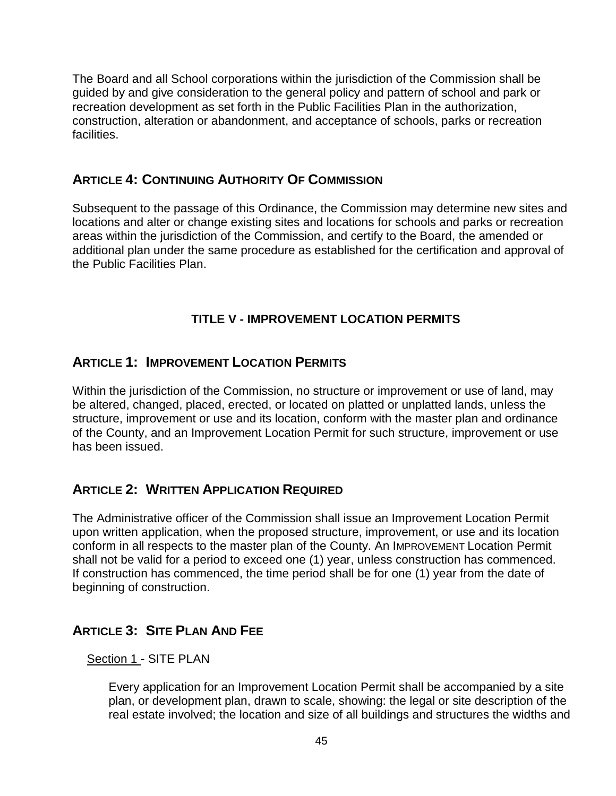The Board and all School corporations within the jurisdiction of the Commission shall be guided by and give consideration to the general policy and pattern of school and park or recreation development as set forth in the Public Facilities Plan in the authorization, construction, alteration or abandonment, and acceptance of schools, parks or recreation facilities.

## **ARTICLE 4: CONTINUING AUTHORITY OF COMMISSION**

Subsequent to the passage of this Ordinance, the Commission may determine new sites and locations and alter or change existing sites and locations for schools and parks or recreation areas within the jurisdiction of the Commission, and certify to the Board, the amended or additional plan under the same procedure as established for the certification and approval of the Public Facilities Plan.

# **TITLE V - IMPROVEMENT LOCATION PERMITS**

## **ARTICLE 1: IMPROVEMENT LOCATION PERMITS**

Within the jurisdiction of the Commission, no structure or improvement or use of land, may be altered, changed, placed, erected, or located on platted or unplatted lands, unless the structure, improvement or use and its location, conform with the master plan and ordinance of the County, and an Improvement Location Permit for such structure, improvement or use has been issued.

# **ARTICLE 2: WRITTEN APPLICATION REQUIRED**

The Administrative officer of the Commission shall issue an Improvement Location Permit upon written application, when the proposed structure, improvement, or use and its location conform in all respects to the master plan of the County. An IMPROVEMENT Location Permit shall not be valid for a period to exceed one (1) year, unless construction has commenced. If construction has commenced, the time period shall be for one (1) year from the date of beginning of construction.

# **ARTICLE 3: SITE PLAN AND FEE**

Section 1 - SITE PLAN

Every application for an Improvement Location Permit shall be accompanied by a site plan, or development plan, drawn to scale, showing: the legal or site description of the real estate involved; the location and size of all buildings and structures the widths and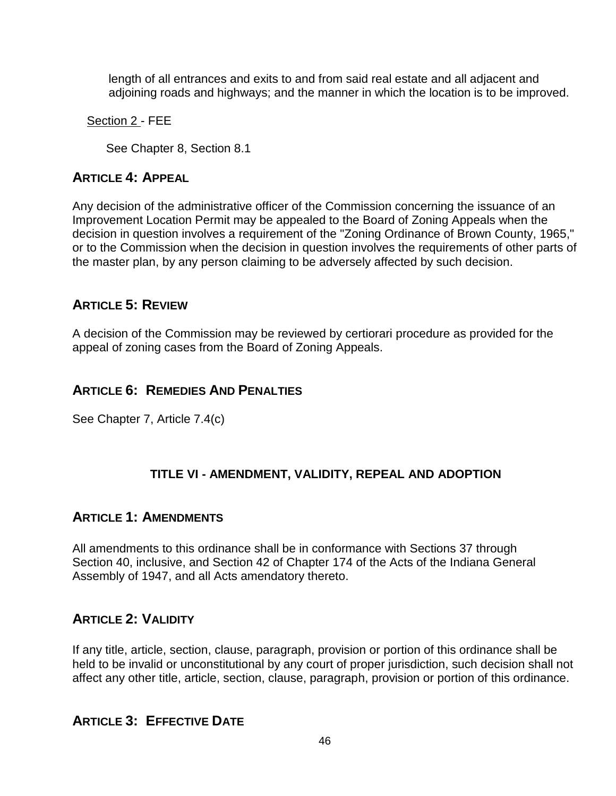length of all entrances and exits to and from said real estate and all adjacent and adjoining roads and highways; and the manner in which the location is to be improved.

Section 2 - FEE

See Chapter 8, Section 8.1

# **ARTICLE 4: APPEAL**

Any decision of the administrative officer of the Commission concerning the issuance of an Improvement Location Permit may be appealed to the Board of Zoning Appeals when the decision in question involves a requirement of the "Zoning Ordinance of Brown County, 1965," or to the Commission when the decision in question involves the requirements of other parts of the master plan, by any person claiming to be adversely affected by such decision.

# **ARTICLE 5: REVIEW**

A decision of the Commission may be reviewed by certiorari procedure as provided for the appeal of zoning cases from the Board of Zoning Appeals.

# **ARTICLE 6: REMEDIES AND PENALTIES**

See Chapter 7, Article 7.4(c)

# **TITLE VI - AMENDMENT, VALIDITY, REPEAL AND ADOPTION**

# **ARTICLE 1: AMENDMENTS**

All amendments to this ordinance shall be in conformance with Sections 37 through Section 40, inclusive, and Section 42 of Chapter 174 of the Acts of the Indiana General Assembly of 1947, and all Acts amendatory thereto.

# **ARTICLE 2: VALIDITY**

If any title, article, section, clause, paragraph, provision or portion of this ordinance shall be held to be invalid or unconstitutional by any court of proper jurisdiction, such decision shall not affect any other title, article, section, clause, paragraph, provision or portion of this ordinance.

# **ARTICLE 3: EFFECTIVE DATE**